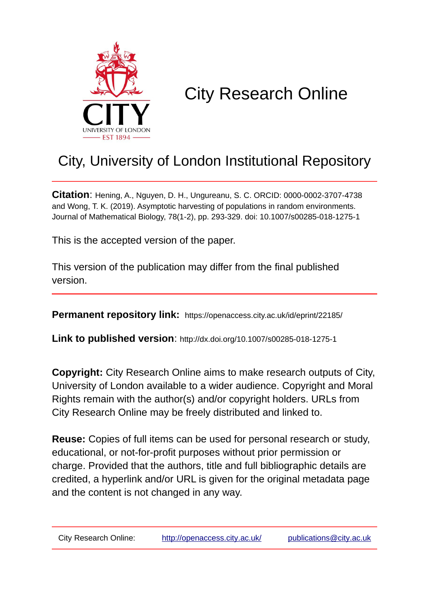

# City Research Online

## City, University of London Institutional Repository

**Citation**: Hening, A., Nguyen, D. H., Ungureanu, S. C. ORCID: 0000-0002-3707-4738 and Wong, T. K. (2019). Asymptotic harvesting of populations in random environments. Journal of Mathematical Biology, 78(1-2), pp. 293-329. doi: 10.1007/s00285-018-1275-1

This is the accepted version of the paper.

This version of the publication may differ from the final published version.

**Permanent repository link:** https://openaccess.city.ac.uk/id/eprint/22185/

**Link to published version**: http://dx.doi.org/10.1007/s00285-018-1275-1

**Copyright:** City Research Online aims to make research outputs of City, University of London available to a wider audience. Copyright and Moral Rights remain with the author(s) and/or copyright holders. URLs from City Research Online may be freely distributed and linked to.

**Reuse:** Copies of full items can be used for personal research or study, educational, or not-for-profit purposes without prior permission or charge. Provided that the authors, title and full bibliographic details are credited, a hyperlink and/or URL is given for the original metadata page and the content is not changed in any way.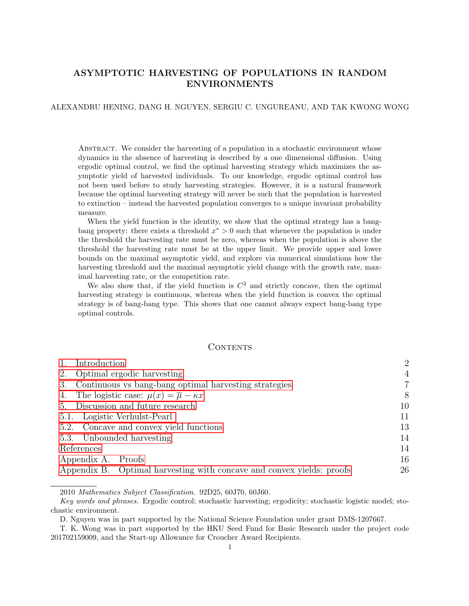### ASYMPTOTIC HARVESTING OF POPULATIONS IN RANDOM ENVIRONMENTS

#### ALEXANDRU HENING, DANG H. NGUYEN, SERGIU C. UNGUREANU, AND TAK KWONG WONG

ABSTRACT. We consider the harvesting of a population in a stochastic environment whose dynamics in the absence of harvesting is described by a one dimensional diffusion. Using ergodic optimal control, we find the optimal harvesting strategy which maximizes the asymptotic yield of harvested individuals. To our knowledge, ergodic optimal control has not been used before to study harvesting strategies. However, it is a natural framework because the optimal harvesting strategy will never be such that the population is harvested to extinction – instead the harvested population converges to a unique invariant probability measure.

When the yield function is the identity, we show that the optimal strategy has a bangbang property: there exists a threshold  $x^* > 0$  such that whenever the population is under the threshold the harvesting rate must be zero, whereas when the population is above the threshold the harvesting rate must be at the upper limit. We provide upper and lower bounds on the maximal asymptotic yield, and explore via numerical simulations how the harvesting threshold and the maximal asymptotic yield change with the growth rate, maximal harvesting rate, or the competition rate.

We also show that, if the yield function is  $C<sup>2</sup>$  and strictly concave, then the optimal harvesting strategy is continuous, whereas when the yield function is convex the optimal strategy is of bang-bang type. This shows that one cannot always expect bang-bang type optimal controls.

#### CONTENTS

| Introduction                                                          | $\overline{2}$ |
|-----------------------------------------------------------------------|----------------|
| Optimal ergodic harvesting<br>2.                                      | $\overline{4}$ |
| Continuous vs bang-bang optimal harvesting strategies<br>3.           | 7              |
| The logistic case: $\mu(x) = \overline{\mu} - \kappa x$<br>4.         | 8              |
| 5. Discussion and future research                                     | 10             |
| 5.1. Logistic Verhulst-Pearl                                          | 11             |
| 5.2. Concave and convex yield functions                               | 13             |
| 5.3. Unbounded harvesting                                             | 14             |
| References                                                            | 14             |
| Appendix A. Proofs                                                    | 16             |
| Appendix B. Optimal harvesting with concave and convex yields: proofs | 26             |
|                                                                       |                |

<sup>2010</sup> Mathematics Subject Classification. 92D25, 60J70, 60J60.

Key words and phrases. Ergodic control; stochastic harvesting; ergodicity; stochastic logistic model; stochastic environment.

D. Nguyen was in part supported by the National Science Foundation under grant DMS-1207667.

T. K. Wong was in part supported by the HKU Seed Fund for Basic Research under the project code 201702159009, and the Start-up Allowance for Croucher Award Recipients.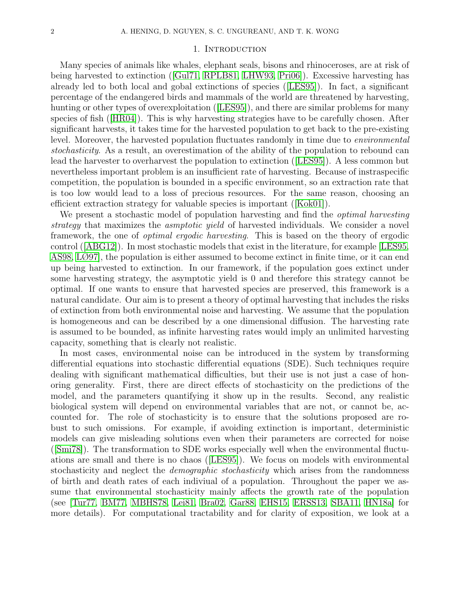#### 1. Introduction

<span id="page-2-0"></span>Many species of animals like whales, elephant seals, bisons and rhinoceroses, are at risk of being harvested to extinction ([\[Gul71,](#page-15-0) [RPLB81,](#page-16-1) [LHW93,](#page-16-2) [Pri06\]](#page-16-3)). Excessive harvesting has already led to both local and gobal extinctions of species ([\[LES95\]](#page-16-4)). In fact, a significant percentage of the endangered birds and mammals of the world are threatened by harvesting, hunting or other types of overexploitation ([\[LES95\]](#page-16-4)), and there are similar problems for many species of fish ([\[HR04\]](#page-15-1)). This is why harvesting strategies have to be carefully chosen. After significant harvests, it takes time for the harvested population to get back to the pre-existing level. Moreover, the harvested population fluctuates randomly in time due to environmental stochasticity. As a result, an overestimation of the ability of the population to rebound can lead the harvester to overharvest the population to extinction ([\[LES95\]](#page-16-4)). A less common but nevertheless important problem is an insufficient rate of harvesting. Because of instraspecific competition, the population is bounded in a specific environment, so an extraction rate that is too low would lead to a loss of precious resources. For the same reason, choosing an efficient extraction strategy for valuable species is important  $(|Kok01|)$ .

We present a stochastic model of population harvesting and find the *optimal harvesting* strategy that maximizes the asmptotic yield of harvested individuals. We consider a novel framework, the one of optimal ergodic harvesting. This is based on the theory of ergodic control ([\[ABG12\]](#page-14-2)). In most stochastic models that exist in the literature, for example [\[LES95,](#page-16-4) [AS98,](#page-15-3) [LØ97\]](#page-16-5), the population is either assumed to become extinct in finite time, or it can end up being harvested to extinction. In our framework, if the population goes extinct under some harvesting strategy, the asymptotic yield is 0 and therefore this strategy cannot be optimal. If one wants to ensure that harvested species are preserved, this framework is a natural candidate. Our aim is to present a theory of optimal harvesting that includes the risks of extinction from both environmental noise and harvesting. We assume that the population is homogeneous and can be described by a one dimensional diffusion. The harvesting rate is assumed to be bounded, as infinite harvesting rates would imply an unlimited harvesting capacity, something that is clearly not realistic.

In most cases, environmental noise can be introduced in the system by transforming differential equations into stochastic differential equations (SDE). Such techniques require dealing with significant mathematical difficulties, but their use is not just a case of honoring generality. First, there are direct effects of stochasticity on the predictions of the model, and the parameters quantifying it show up in the results. Second, any realistic biological system will depend on environmental variables that are not, or cannot be, accounted for. The role of stochasticity is to ensure that the solutions proposed are robust to such omissions. For example, if avoiding extinction is important, deterministic models can give misleading solutions even when their parameters are corrected for noise ([\[Smi78\]](#page-16-6)). The transformation to SDE works especially well when the environmental fluctuations are small and there is no chaos ([\[LES95\]](#page-16-4)). We focus on models with environmental stochasticity and neglect the *demographic stochasticity* which arises from the randomness of birth and death rates of each indiviual of a population. Throughout the paper we assume that environmental stochasticity mainly affects the growth rate of the population (see [\[Tur77,](#page-16-7) [BM77,](#page-15-4) [MBHS78,](#page-16-8) [Lei81,](#page-15-5) [Bra02,](#page-15-6) [Gar88,](#page-15-7) [EHS15,](#page-15-8) [ERSS13,](#page-15-9) [SBA11,](#page-16-9) [HN18a\]](#page-15-10) for more details). For computational tractability and for clarity of exposition, we look at a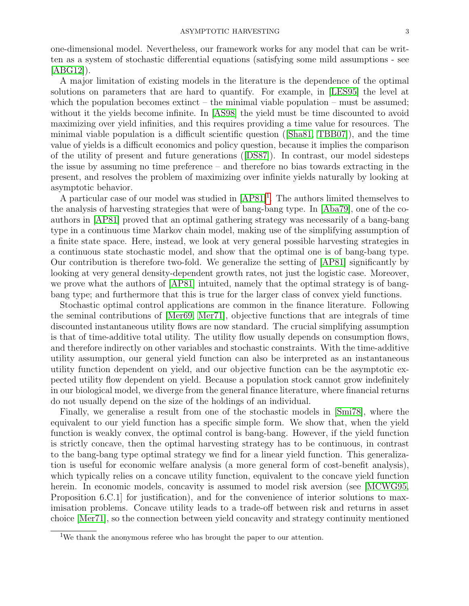one-dimensional model. Nevertheless, our framework works for any model that can be written as a system of stochastic differential equations (satisfying some mild assumptions - see [\[ABG12\]](#page-14-2)).

A major limitation of existing models in the literature is the dependence of the optimal solutions on parameters that are hard to quantify. For example, in [\[LES95\]](#page-16-4) the level at which the population becomes extinct – the minimal viable population – must be assumed; without it the yields become infinite. In [\[AS98\]](#page-15-3) the yield must be time discounted to avoid maximizing over yield infinities, and this requires providing a time value for resources. The minimal viable population is a difficult scientific question ([\[Sha81,](#page-16-10) [TBB07\]](#page-16-11)), and the time value of yields is a difficult economics and policy question, because it implies the comparison of the utility of present and future generations ([\[DS87\]](#page-15-11)). In contrast, our model sidesteps the issue by assuming no time preference – and therefore no bias towards extracting in the present, and resolves the problem of maximizing over infinite yields naturally by looking at asymptotic behavior.

A particular case of our model was studied in  $[AP81]$ <sup>[1](#page-3-0)</sup>. The authors limited themselves to the analysis of harvesting strategies that were of bang-bang type. In [\[Aba79\]](#page-14-3), one of the coauthors in [\[AP81\]](#page-15-12) proved that an optimal gathering strategy was necessarily of a bang-bang type in a continuous time Markov chain model, making use of the simplifying assumption of a finite state space. Here, instead, we look at very general possible harvesting strategies in a continuous state stochastic model, and show that the optimal one is of bang-bang type. Our contribution is therefore two-fold. We generalize the setting of [\[AP81\]](#page-15-12) significantly by looking at very general density-dependent growth rates, not just the logistic case. Moreover, we prove what the authors of [\[AP81\]](#page-15-12) intuited, namely that the optimal strategy is of bangbang type; and furthermore that this is true for the larger class of convex yield functions.

Stochastic optimal control applications are common in the finance literature. Following the seminal contributions of [\[Mer69,](#page-16-12) [Mer71\]](#page-16-13), objective functions that are integrals of time discounted instantaneous utility flows are now standard. The crucial simplifying assumption is that of time-additive total utility. The utility flow usually depends on consumption flows, and therefore indirectly on other variables and stochastic constraints. With the time-additive utility assumption, our general yield function can also be interpreted as an instantaneous utility function dependent on yield, and our objective function can be the asymptotic expected utility flow dependent on yield. Because a population stock cannot grow indefinitely in our biological model, we diverge from the general finance literature, where financial returns do not usually depend on the size of the holdings of an individual.

Finally, we generalise a result from one of the stochastic models in [\[Smi78\]](#page-16-6), where the equivalent to our yield function has a specific simple form. We show that, when the yield function is weakly convex, the optimal control is bang-bang. However, if the yield function is strictly concave, then the optimal harvesting strategy has to be continuous, in contrast to the bang-bang type optimal strategy we find for a linear yield function. This generalization is useful for economic welfare analysis (a more general form of cost-benefit analysis), which typically relies on a concave utility function, equivalent to the concave yield function herein. In economic models, concavity is assumed to model risk aversion (see [\[MCWG95,](#page-16-14) Proposition 6.C.1] for justification), and for the convenience of interior solutions to maximisation problems. Concave utility leads to a trade-off between risk and returns in asset choice [\[Mer71\]](#page-16-13), so the connection between yield concavity and strategy continuity mentioned

<span id="page-3-0"></span><sup>&</sup>lt;sup>1</sup>We thank the anonymous referee who has brought the paper to our attention.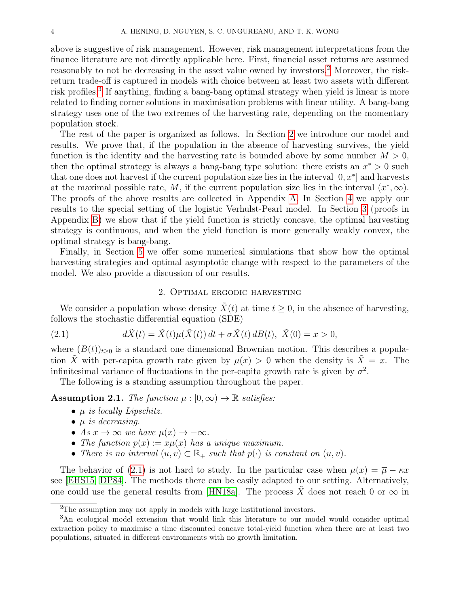above is suggestive of risk management. However, risk management interpretations from the finance literature are not directly applicable here. First, financial asset returns are assumed reasonably to not be decreasing in the asset value owned by investors.<sup>[2](#page-4-1)</sup> Moreover, the riskreturn trade-off is captured in models with choice between at least two assets with different risk profiles.<sup>[3](#page-4-2)</sup> If anything, finding a bang-bang optimal strategy when yield is linear is more related to finding corner solutions in maximisation problems with linear utility. A bang-bang strategy uses one of the two extremes of the harvesting rate, depending on the momentary population stock.

The rest of the paper is organized as follows. In Section [2](#page-4-0) we introduce our model and results. We prove that, if the population in the absence of harvesting survives, the yield function is the identity and the harvesting rate is bounded above by some number  $M > 0$ , then the optimal strategy is always a bang-bang type solution: there exists an  $x^* > 0$  such that one does not harvest if the current population size lies in the interval  $[0, x^*]$  and harvests at the maximal possible rate, M, if the current population size lies in the interval  $(x^*, \infty)$ . The proofs of the above results are collected in Appendix [A.](#page-16-0) In Section [4](#page-8-0) we apply our results to the special setting of the logistic Verhulst-Pearl model. In Section [3](#page-7-0) (proofs in Appendix [B\)](#page-26-0) we show that if the yield function is strictly concave, the optimal harvesting strategy is continuous, and when the yield function is more generally weakly convex, the optimal strategy is bang-bang.

Finally, in Section [5](#page-10-0) we offer some numerical simulations that show how the optimal harvesting strategies and optimal asymptotic change with respect to the parameters of the model. We also provide a discussion of our results.

#### <span id="page-4-3"></span>2. Optimal ergodic harvesting

<span id="page-4-0"></span>We consider a population whose density  $X(t)$  at time  $t \geq 0$ , in the absence of harvesting, follows the stochastic differential equation (SDE)

(2.1) 
$$
d\tilde{X}(t) = \tilde{X}(t)\mu(\tilde{X}(t)) dt + \sigma \tilde{X}(t) dB(t), \ \tilde{X}(0) = x > 0,
$$

where  $(B(t))_{t>0}$  is a standard one dimensional Brownian motion. This describes a population  $\tilde{X}$  with per-capita growth rate given by  $\mu(x) > 0$  when the density is  $\tilde{X} = x$ . The infinitesimal variance of fluctuations in the per-capita growth rate is given by  $\sigma^2$ .

The following is a standing assumption throughout the paper.

<span id="page-4-4"></span>**Assumption 2.1.** The function  $\mu : [0, \infty) \to \mathbb{R}$  satisfies:

- $\mu$  is locally Lipschitz.
- $\mu$  is decreasing.
- As  $x \to \infty$  we have  $\mu(x) \to -\infty$ .
- The function  $p(x) := x\mu(x)$  has a unique maximum.
- There is no interval  $(u, v) \subset \mathbb{R}_+$  such that  $p(\cdot)$  is constant on  $(u, v)$ .

The behavior of [\(2.1\)](#page-4-3) is not hard to study. In the particular case when  $\mu(x) = \overline{\mu} - \kappa x$ see [\[EHS15,](#page-15-8) [DP84\]](#page-15-13). The methods there can be easily adapted to our setting. Alternatively, one could use the general results from [\[HN18a\]](#page-15-10). The process  $\tilde{X}$  does not reach 0 or  $\infty$  in

<span id="page-4-2"></span><span id="page-4-1"></span> $\rm{^2The}$  assumption may not apply in models with large institutional investors.

<sup>3</sup>An ecological model extension that would link this literature to our model would consider optimal extraction policy to maximise a time discounted concave total-yield function when there are at least two populations, situated in different environments with no growth limitation.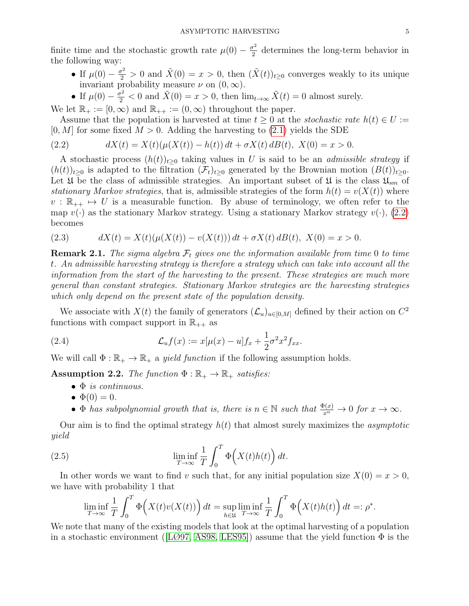finite time and the stochastic growth rate  $\mu(0) - \frac{\sigma^2}{2}$  $\frac{\sigma^2}{2}$  determines the long-term behavior in the following way:

- If  $\mu(0) \frac{\sigma^2}{2} > 0$  and  $\tilde{X}(0) = x > 0$ , then  $(\tilde{X}(t))_{t \geq 0}$  converges weakly to its unique invariant probability measure  $\nu$  on  $(0, \infty)$ .
- If  $\mu(0) \frac{\sigma^2}{2} < 0$  and  $\tilde{X}(0) = x > 0$ , then  $\lim_{t \to \infty} \tilde{X}(t) = 0$  almost surely.

We let  $\mathbb{R}_+ := [0, \infty)$  and  $\mathbb{R}_{++} := (0, \infty)$  throughout the paper.

Assume that the population is harvested at time  $t \geq 0$  at the *stochastic rate*  $h(t) \in U :=$  $[0, M]$  for some fixed  $M > 0$ . Adding the harvesting to  $(2.1)$  yields the SDE

<span id="page-5-0"></span>(2.2) 
$$
dX(t) = X(t)(\mu(X(t)) - h(t)) dt + \sigma X(t) dB(t), X(0) = x > 0.
$$

A stochastic process  $(h(t))_{t>0}$  taking values in U is said to be an *admissible strategy* if  $(h(t))_{t\geq0}$  is adapted to the filtration  $(\mathcal{F}_t)_{t\geq0}$  generated by the Brownian motion  $(B(t))_{t\geq0}$ . Let  $\mathfrak U$  be the class of admissible strategies. An important subset of  $\mathfrak U$  is the class  $\mathfrak U_{sm}$  of stationary Markov strategies, that is, admissible strategies of the form  $h(t) = v(X(t))$  where  $v : \mathbb{R}_{++} \to U$  is a measurable function. By abuse of terminology, we often refer to the map  $v(\cdot)$  as the stationary Markov strategy. Using a stationary Markov strategy  $v(\cdot)$ , [\(2.2\)](#page-5-0) becomes

<span id="page-5-1"></span>(2.3) 
$$
dX(t) = X(t)(\mu(X(t)) - v(X(t))) dt + \sigma X(t) dB(t), X(0) = x > 0.
$$

**Remark 2.1.** The sigma algebra  $\mathcal{F}_t$  gives one the information available from time 0 to time t. An admissible harvesting strategy is therefore a strategy which can take into account all the information from the start of the harvesting to the present. These strategies are much more general than constant strategies. Stationary Markov strategies are the harvesting strategies which only depend on the present state of the population density.

We associate with  $X(t)$  the family of generators  $(\mathcal{L}_u)_{u \in [0,M]}$  defined by their action on  $C^2$ functions with compact support in  $\mathbb{R}_{++}$  as

(2.4) 
$$
\mathcal{L}_u f(x) := x[\mu(x) - u]f_x + \frac{1}{2}\sigma^2 x^2 f_{xx}.
$$

We will call  $\Phi : \mathbb{R}_+ \to \mathbb{R}_+$  a *yield function* if the following assumption holds.

<span id="page-5-2"></span>**Assumption 2.2.** The function  $\Phi : \mathbb{R}_+ \to \mathbb{R}_+$  satisfies:

- $\bullet$   $\Phi$  is continuous.
- $\Phi(0) = 0$ .
- $\Phi$  has subpolynomial growth that is, there is  $n \in \mathbb{N}$  such that  $\frac{\Phi(x)}{x^n} \to 0$  for  $x \to \infty$ .

Our aim is to find the optimal strategy  $h(t)$  that almost surely maximizes the *asymptotic* yield

(2.5) 
$$
\liminf_{T \to \infty} \frac{1}{T} \int_0^T \Phi\Big(X(t)h(t)\Big) dt.
$$

In other words we want to find v such that, for any initial population size  $X(0) = x > 0$ , we have with probability 1 that

$$
\liminf_{T \to \infty} \frac{1}{T} \int_0^T \Phi\Big(X(t)v(X(t))\Big) dt = \sup_{h \in \mathfrak{U}} \liminf_{T \to \infty} \frac{1}{T} \int_0^T \Phi\Big(X(t)h(t)\Big) dt =: \rho^*.
$$

We note that many of the existing models that look at the optimal harvesting of a population in a stochastic environment ( $|L\omega$ 97, [AS98,](#page-15-3) LES95) assume that the yield function  $\Phi$  is the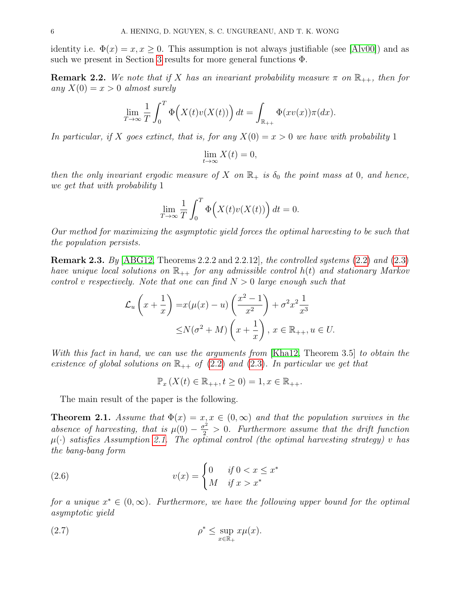identity i.e.  $\Phi(x) = x, x \ge 0$ . This assumption is not always justifiable (see [\[Alv00\]](#page-14-4)) and as such we present in Section [3](#page-7-0) results for more general functions Φ.

**Remark 2.2.** We note that if X has an invariant probability measure  $\pi$  on  $\mathbb{R}_{++}$ , then for any  $X(0) = x > 0$  almost surely

$$
\lim_{T \to \infty} \frac{1}{T} \int_0^T \Phi\Big(X(t)v(X(t))\Big) dt = \int_{\mathbb{R}_{++}} \Phi(xv(x))\pi(dx).
$$

In particular, if X goes extinct, that is, for any  $X(0) = x > 0$  we have with probability 1

$$
\lim_{t \to \infty} X(t) = 0,
$$

then the only invariant ergodic measure of X on  $\mathbb{R}_+$  is  $\delta_0$  the point mass at 0, and hence, we get that with probability 1

$$
\lim_{T \to \infty} \frac{1}{T} \int_0^T \Phi\Big(X(t)v(X(t))\Big) dt = 0.
$$

Our method for maximizing the asymptotic yield forces the optimal harvesting to be such that the population persists.

Remark 2.3. By [\[ABG12,](#page-14-2) Theorems 2.2.2 and 2.2.12], the controlled systems [\(2.2\)](#page-5-0) and [\(2.3\)](#page-5-1) have unique local solutions on  $\mathbb{R}_{++}$  for any admissible control  $h(t)$  and stationary Markov control v respectively. Note that one can find  $N > 0$  large enough such that

$$
\mathcal{L}_u\left(x+\frac{1}{x}\right) = x(\mu(x)-u)\left(\frac{x^2-1}{x^2}\right) + \sigma^2 x^2 \frac{1}{x^3}
$$
  
 
$$
\leq N(\sigma^2 + M)\left(x+\frac{1}{x}\right), x \in \mathbb{R}_{++}, u \in U.
$$

With this fact in hand, we can use the arguments from [\[Kha12,](#page-15-14) Theorem 3.5] to obtain the existence of global solutions on  $\mathbb{R}_{++}$  of [\(2.2\)](#page-5-0) and [\(2.3\)](#page-5-1). In particular we get that

$$
\mathbb{P}_x\left(X(t) \in \mathbb{R}_{++}, t \ge 0\right) = 1, x \in \mathbb{R}_{++}.
$$

The main result of the paper is the following.

<span id="page-6-0"></span>**Theorem 2.1.** Assume that  $\Phi(x) = x, x \in (0, \infty)$  and that the population survives in the absence of harvesting, that is  $\mu(0) - \frac{\sigma^2}{2} > 0$ . Furthermore assume that the drift function  $\mu(\cdot)$  satisfies Assumption [2.1.](#page-4-4) The optimal control (the optimal harvesting strategy) v has the bang-bang form

(2.6) 
$$
v(x) = \begin{cases} 0 & \text{if } 0 < x \leq x^* \\ M & \text{if } x > x^* \end{cases}
$$

for a unique  $x^* \in (0,\infty)$ . Furthermore, we have the following upper bound for the optimal asymptotic yield

<span id="page-6-1"></span>(2.7) 
$$
\rho^* \leq \sup_{x \in \mathbb{R}_+} x \mu(x).
$$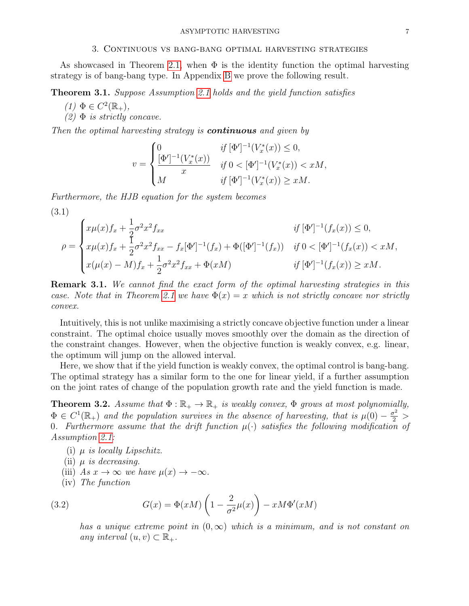#### 3. Continuous vs bang-bang optimal harvesting strategies

<span id="page-7-0"></span>As showcased in Theorem [2.1,](#page-6-0) when  $\Phi$  is the identity function the optimal harvesting strategy is of bang-bang type. In Appendix [B](#page-26-0) we prove the following result.

Theorem 3.1. Suppose Assumption [2.1](#page-4-4) holds and the yield function satisfies

 $(1) \Phi \in C^2(\mathbb{R}_+),$ 

 $(2)$   $\Phi$  is strictly concave.

Then the optimal harvesting strategy is **continuous** and given by

$$
v = \begin{cases} 0 & \text{if } [\Phi']^{-1}(V_x^*(x)) \le 0, \\ \frac{[\Phi']^{-1}(V_x^*(x))}{x} & \text{if } 0 < [\Phi']^{-1}(V_x^*(x)) < xM, \\ M & \text{if } [\Phi']^{-1}(V_x^*(x)) \ge xM. \end{cases}
$$

Furthermore, the HJB equation for the system becomes

(3.1)

$$
\rho = \begin{cases}\n x\mu(x)f_x + \frac{1}{2}\sigma^2 x^2 f_{xx} & \text{if } [\Phi']^{-1}(f_x(x)) \le 0, \\
 x\mu(x)f_x + \frac{1}{2}\sigma^2 x^2 f_{xx} - f_x[\Phi']^{-1}(f_x) + \Phi([\Phi']^{-1}(f_x)) & \text{if } 0 < [\Phi']^{-1}(f_x(x)) < xM, \\
 x(\mu(x) - M)f_x + \frac{1}{2}\sigma^2 x^2 f_{xx} + \Phi(xM) & \text{if } [\Phi']^{-1}(f_x(x)) \ge xM.\n\end{cases}
$$

Remark 3.1. We cannot find the exact form of the optimal harvesting strategies in this case. Note that in Theorem [2.1](#page-6-0) we have  $\Phi(x) = x$  which is not strictly concave nor strictly convex.

Intuitively, this is not unlike maximising a strictly concave objective function under a linear constraint. The optimal choice usually moves smoothly over the domain as the direction of the constraint changes. However, when the objective function is weakly convex, e.g. linear, the optimum will jump on the allowed interval.

Here, we show that if the yield function is weakly convex, the optimal control is bang-bang. The optimal strategy has a similar form to the one for linear yield, if a further assumption on the joint rates of change of the population growth rate and the yield function is made.

<span id="page-7-1"></span>**Theorem 3.2.** Assume that  $\Phi : \mathbb{R}_+ \to \mathbb{R}_+$  is weakly convex,  $\Phi$  grows at most polynomially,  $\Phi \in C^1(\mathbb{R}_+)$  and the population survives in the absence of harvesting, that is  $\mu(0) - \frac{\sigma^2}{2} >$ 0. Furthermore assume that the drift function  $\mu(\cdot)$  satisfies the following modification of Assumption [2.1:](#page-4-4)

- (i)  $\mu$  is locally Lipschitz.
- (ii)  $\mu$  is decreasing.
- (iii) As  $x \to \infty$  we have  $\mu(x) \to -\infty$ .
- (iv) The function

(3.2) 
$$
G(x) = \Phi(xM)\left(1 - \frac{2}{\sigma^2}\mu(x)\right) - xM\Phi'(xM)
$$

<span id="page-7-2"></span>has a unique extreme point in  $(0,\infty)$  which is a minimum, and is not constant on any interval  $(u, v) \subset \mathbb{R}_+$ .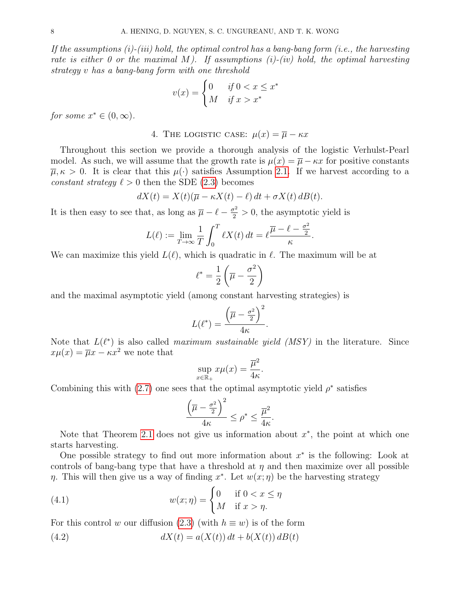If the assumptions (i)-(iii) hold, the optimal control has a bang-bang form (i.e., the harvesting rate is either 0 or the maximal M). If assumptions  $(i)$ - $(iv)$  hold, the optimal harvesting strategy v has a bang-bang form with one threshold

$$
v(x) = \begin{cases} 0 & \text{if } 0 < x \leq x^* \\ M & \text{if } x > x^* \end{cases}
$$

<span id="page-8-0"></span>for some  $x^* \in (0, \infty)$ .

4. THE LOGISTIC CASE: 
$$
\mu(x) = \overline{\mu} - \kappa x
$$

Throughout this section we provide a thorough analysis of the logistic Verhulst-Pearl model. As such, we will assume that the growth rate is  $\mu(x) = \overline{\mu} - \kappa x$  for positive constants  $\overline{\mu}, \kappa > 0$ . It is clear that this  $\mu(\cdot)$  satisfies Assumption [2.1.](#page-4-4) If we harvest according to a constant strategy  $\ell > 0$  then the SDE [\(2.3\)](#page-5-1) becomes

$$
dX(t) = X(t)(\overline{\mu} - \kappa X(t) - \ell) dt + \sigma X(t) dB(t).
$$

It is then easy to see that, as long as  $\overline{\mu} - \ell - \frac{\sigma^2}{2} > 0$ , the asymptotic yield is

$$
L(\ell) := \lim_{T \to \infty} \frac{1}{T} \int_0^T \ell X(t) dt = \ell \frac{\overline{\mu} - \ell - \frac{\sigma^2}{2}}{\kappa}.
$$

We can maximize this yield  $L(\ell)$ , which is quadratic in  $\ell$ . The maximum will be at

$$
\ell^* = \frac{1}{2} \left( \overline{\mu} - \frac{\sigma^2}{2} \right)
$$

and the maximal asymptotic yield (among constant harvesting strategies) is

$$
L(\ell^*) = \frac{\left(\overline{\mu} - \frac{\sigma^2}{2}\right)^2}{4\kappa}.
$$

Note that  $L(\ell^*)$  is also called *maximum sustainable yield (MSY)* in the literature. Since  $x\mu(x) = \overline{\mu}x - \kappa x^2$  we note that

$$
\sup_{x \in \mathbb{R}_+} x \mu(x) = \frac{\overline{\mu}^2}{4\kappa}
$$

.

Combining this with  $(2.7)$  one sees that the optimal asymptotic yield  $\rho^*$  satisfies

$$
\frac{\left(\overline{\mu} - \frac{\sigma^2}{2}\right)^2}{4\kappa} \leq \rho^* \leq \frac{\overline{\mu}^2}{4\kappa}.
$$

Note that Theorem [2.1](#page-6-0) does not give us information about  $x^*$ , the point at which one starts harvesting.

One possible strategy to find out more information about  $x^*$  is the following: Look at controls of bang-bang type that have a threshold at  $\eta$  and then maximize over all possible  $\eta$ . This will then give us a way of finding x<sup>\*</sup>. Let  $w(x;\eta)$  be the harvesting strategy

(4.1) 
$$
w(x; \eta) = \begin{cases} 0 & \text{if } 0 < x \leq \eta \\ M & \text{if } x > \eta. \end{cases}
$$

For this control w our diffusion [\(2.3\)](#page-5-1) (with  $h \equiv w$ ) is of the form

<span id="page-8-1"></span>(4.2) 
$$
dX(t) = a(X(t)) dt + b(X(t)) dB(t)
$$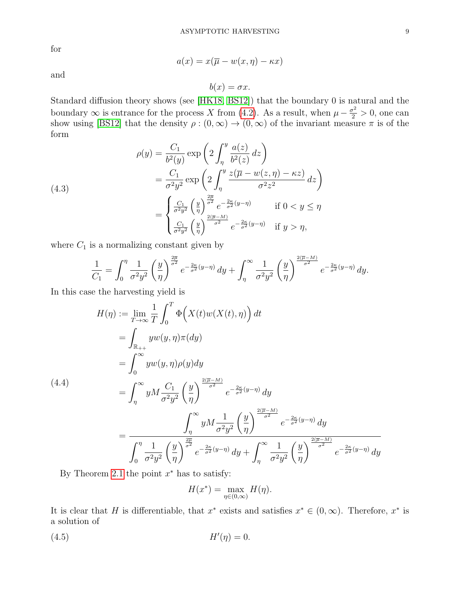for

$$
a(x) = x(\overline{\mu} - w(x, \eta) - \kappa x)
$$

and

 $b(x) = \sigma x.$ 

Standard diffusion theory shows (see [\[HK18,](#page-15-15) [BS12\]](#page-15-16)) that the boundary 0 is natural and the boundary  $\infty$  is entrance for the process X from [\(4.2\)](#page-8-1). As a result, when  $\mu - \frac{\sigma^2}{2} > 0$ , one can show using [\[BS12\]](#page-15-16) that the density  $\rho : (0, \infty) \to (0, \infty)$  of the invariant measure  $\pi$  is of the form

(4.3)  
\n
$$
\rho(y) = \frac{C_1}{b^2(y)} \exp\left(2\int_{\eta}^{y} \frac{a(z)}{b^2(z)} dz\right)
$$
\n
$$
= \frac{C_1}{\sigma^2 y^2} \exp\left(2\int_{\eta}^{y} \frac{z(\overline{\mu} - w(z, \eta) - \kappa z)}{\sigma^2 z^2} dz\right)
$$
\n
$$
= \begin{cases}\n\frac{C_1}{\sigma^2 y^2} \left(\frac{y}{\eta}\right)^{\frac{2\overline{\mu}}{\sigma^2}} e^{-\frac{2\kappa}{\sigma^2} (y-\eta)} & \text{if } 0 < y \le \eta \\
\frac{C_1}{\sigma^2 y^2} \left(\frac{y}{\eta}\right)^{\frac{2(\overline{\mu}-M)}{\sigma^2}} e^{-\frac{2\kappa}{\sigma^2} (y-\eta)} & \text{if } y > \eta,\n\end{cases}
$$

where  $C_1$  is a normalizing constant given by

<span id="page-9-1"></span>
$$
\frac{1}{C_1} = \int_0^{\eta} \frac{1}{\sigma^2 y^2} \left(\frac{y}{\eta}\right)^{\frac{2\overline{\mu}}{\sigma^2}} e^{-\frac{2\kappa}{\sigma^2}(y-\eta)} dy + \int_{\eta}^{\infty} \frac{1}{\sigma^2 y^2} \left(\frac{y}{\eta}\right)^{\frac{2(\overline{\mu}-M)}{\sigma^2}} e^{-\frac{2\kappa}{\sigma^2}(y-\eta)} dy.
$$

In this case the harvesting yield is

$$
H(\eta) := \lim_{T \to \infty} \frac{1}{T} \int_0^T \Phi\Big(X(t)w(X(t), \eta)\Big) dt
$$
  
\n
$$
= \int_{\mathbb{R}_{++}} yw(y, \eta)\pi(dy)
$$
  
\n
$$
= \int_0^{\infty} yw(y, \eta)\rho(y) dy
$$
  
\n
$$
= \int_{\eta}^{\infty} yM \frac{C_1}{\sigma^2 y^2} \left(\frac{y}{\eta}\right)^{\frac{2(T-M)}{\sigma^2}} e^{-\frac{2\kappa}{\sigma^2}(y-\eta)} dy
$$
  
\n
$$
= \frac{\int_{\eta}^{\infty} yM \frac{1}{\sigma^2 y^2} \left(\frac{y}{\eta}\right)^{\frac{2(T-M)}{\sigma^2}} e^{-\frac{2\kappa}{\sigma^2}(y-\eta)} dy}{\int_0^{\eta} \frac{1}{\sigma^2 y^2} \left(\frac{y}{\eta}\right)^{\frac{2\overline{\mu}}{\sigma^2}} e^{-\frac{2\kappa}{\sigma^2}(y-\eta)} dy + \int_{\eta}^{\infty} \frac{1}{\sigma^2 y^2} \left(\frac{y}{\eta}\right)^{\frac{2(T-M)}{\sigma^2}} e^{-\frac{2\kappa}{\sigma^2}(y-\eta)} dy
$$

By Theorem [2.1](#page-6-0) the point  $x^*$  has to satisfy:

<span id="page-9-0"></span>
$$
H(x^*) = \max_{\eta \in (0,\infty)} H(\eta).
$$

It is clear that H is differentiable, that  $x^*$  exists and satisfies  $x^* \in (0, \infty)$ . Therefore,  $x^*$  is a solution of

$$
(4.5) \t\t\t H'(\eta) = 0.
$$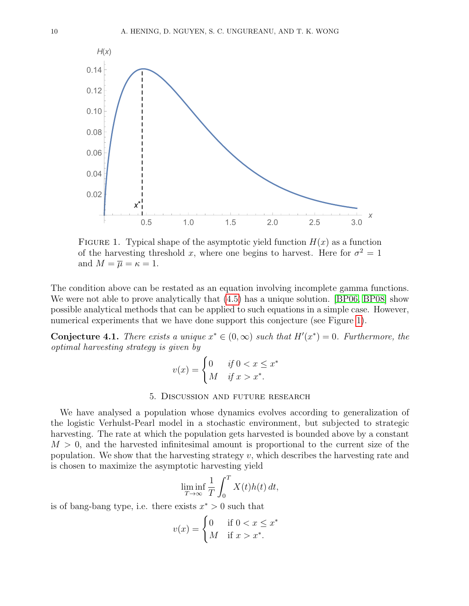<span id="page-10-1"></span>

FIGURE 1. Typical shape of the asymptotic yield function  $H(x)$  as a function of the harvesting threshold x, where one begins to harvest. Here for  $\sigma^2 = 1$ and  $M = \overline{\mu} = \kappa = 1$ .

The condition above can be restated as an equation involving incomplete gamma functions. We were not able to prove analytically that  $(4.5)$  has a unique solution. [\[BP06,](#page-15-17) [BP08\]](#page-15-18) show possible analytical methods that can be applied to such equations in a simple case. However, numerical experiments that we have done support this conjecture (see Figure [1\)](#page-10-1).

**Conjecture 4.1.** There exists a unique  $x^* \in (0, \infty)$  such that  $H'(x^*) = 0$ . Furthermore, the optimal harvesting strategy is given by

$$
v(x) = \begin{cases} 0 & \text{if } 0 < x \le x^* \\ M & \text{if } x > x^*. \end{cases}
$$

#### 5. Discussion and future research

<span id="page-10-0"></span>We have analysed a population whose dynamics evolves according to generalization of the logistic Verhulst-Pearl model in a stochastic environment, but subjected to strategic harvesting. The rate at which the population gets harvested is bounded above by a constant  $M > 0$ , and the harvested infinitesimal amount is proportional to the current size of the population. We show that the harvesting strategy v, which describes the harvesting rate and is chosen to maximize the asymptotic harvesting yield

$$
\liminf_{T \to \infty} \frac{1}{T} \int_0^T X(t)h(t) dt,
$$

is of bang-bang type, i.e. there exists  $x^* > 0$  such that

$$
v(x) = \begin{cases} 0 & \text{if } 0 < x \le x^* \\ M & \text{if } x > x^*. \end{cases}
$$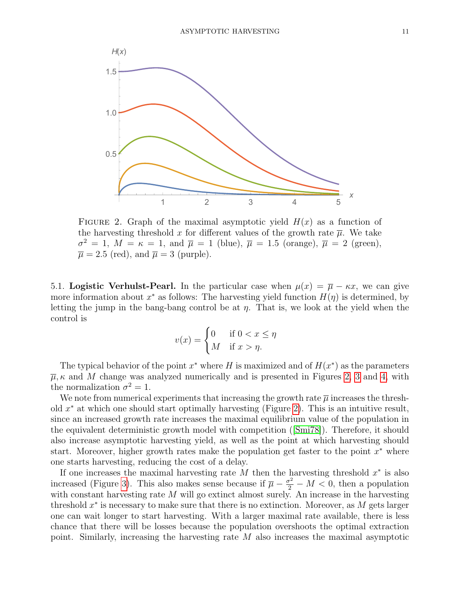<span id="page-11-1"></span>

FIGURE 2. Graph of the maximal asymptotic yield  $H(x)$  as a function of the harvesting threshold x for different values of the growth rate  $\bar{\mu}$ . We take  $\sigma^2 = 1, M = \kappa = 1, \text{ and } \overline{\mu} = 1 \text{ (blue)}, \overline{\mu} = 1.5 \text{ (orange)}, \overline{\mu} = 2 \text{ (green)},$  $\overline{\mu} = 2.5$  (red), and  $\overline{\mu} = 3$  (purple).

<span id="page-11-0"></span>5.1. Logistic Verhulst-Pearl. In the particular case when  $\mu(x) = \overline{\mu} - \kappa x$ , we can give more information about  $x^*$  as follows: The harvesting yield function  $H(\eta)$  is determined, by letting the jump in the bang-bang control be at  $\eta$ . That is, we look at the yield when the control is

$$
v(x) = \begin{cases} 0 & \text{if } 0 < x \le \eta \\ M & \text{if } x > \eta. \end{cases}
$$

The typical behavior of the point  $x^*$  where H is maximized and of  $H(x^*)$  as the parameters  $\overline{\mu}$ ,  $\kappa$  and M change was analyzed numerically and is presented in Figures [2,](#page-11-1) [3](#page-12-0) and [4,](#page-13-1) with the normalization  $\sigma^2 = 1$ .

We note from numerical experiments that increasing the growth rate  $\overline{\mu}$  increases the threshold  $x^*$  at which one should start optimally harvesting (Figure [2\)](#page-11-1). This is an intuitive result, since an increased growth rate increases the maximal equilibrium value of the population in the equivalent deterministic growth model with competition ([\[Smi78\]](#page-16-6)). Therefore, it should also increase asymptotic harvesting yield, as well as the point at which harvesting should start. Moreover, higher growth rates make the population get faster to the point  $x^*$  where one starts harvesting, reducing the cost of a delay.

If one increases the maximal harvesting rate  $M$  then the harvesting threshold  $x^*$  is also increased (Figure [3\)](#page-12-0). This also makes sense because if  $\overline{\mu} - \frac{\sigma^2}{2} - M < 0$ , then a population with constant harvesting rate M will go extinct almost surely. An increase in the harvesting threshold  $x^*$  is necessary to make sure that there is no extinction. Moreover, as M gets larger one can wait longer to start harvesting. With a larger maximal rate available, there is less chance that there will be losses because the population overshoots the optimal extraction point. Similarly, increasing the harvesting rate  $M$  also increases the maximal asymptotic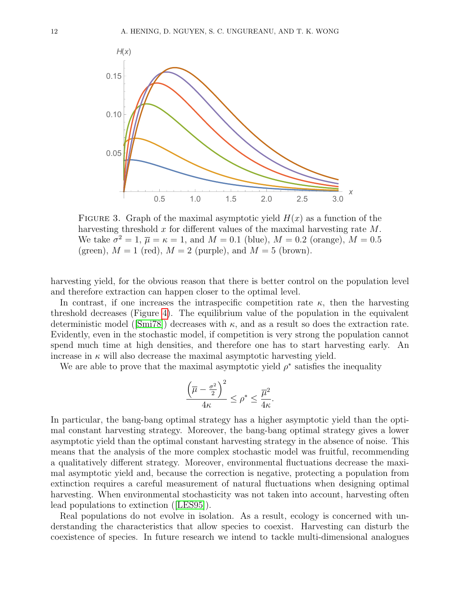<span id="page-12-0"></span>

FIGURE 3. Graph of the maximal asymptotic yield  $H(x)$  as a function of the harvesting threshold  $x$  for different values of the maximal harvesting rate  $M$ . We take  $\sigma^2 = 1$ ,  $\bar{\mu} = \kappa = 1$ , and  $M = 0.1$  (blue),  $M = 0.2$  (orange),  $M = 0.5$ (green),  $M = 1$  (red),  $M = 2$  (purple), and  $M = 5$  (brown).

harvesting yield, for the obvious reason that there is better control on the population level and therefore extraction can happen closer to the optimal level.

In contrast, if one increases the intraspecific competition rate  $\kappa$ , then the harvesting threshold decreases (Figure [4\)](#page-13-1). The equilibrium value of the population in the equivalent deterministic model ([\[Smi78\]](#page-16-6)) decreases with  $\kappa$ , and as a result so does the extraction rate. Evidently, even in the stochastic model, if competition is very strong the population cannot spend much time at high densities, and therefore one has to start harvesting early. An increase in  $\kappa$  will also decrease the maximal asymptotic harvesting yield.

We are able to prove that the maximal asymptotic yield  $\rho^*$  satisfies the inequality

$$
\frac{\left(\overline{\mu} - \frac{\sigma^2}{2}\right)^2}{4\kappa} \le \rho^* \le \frac{\overline{\mu}^2}{4\kappa}.
$$

In particular, the bang-bang optimal strategy has a higher asymptotic yield than the optimal constant harvesting strategy. Moreover, the bang-bang optimal strategy gives a lower asymptotic yield than the optimal constant harvesting strategy in the absence of noise. This means that the analysis of the more complex stochastic model was fruitful, recommending a qualitatively different strategy. Moreover, environmental fluctuations decrease the maximal asymptotic yield and, because the correction is negative, protecting a population from extinction requires a careful measurement of natural fluctuations when designing optimal harvesting. When environmental stochasticity was not taken into account, harvesting often lead populations to extinction ([\[LES95\]](#page-16-4)).

Real populations do not evolve in isolation. As a result, ecology is concerned with understanding the characteristics that allow species to coexist. Harvesting can disturb the coexistence of species. In future research we intend to tackle multi-dimensional analogues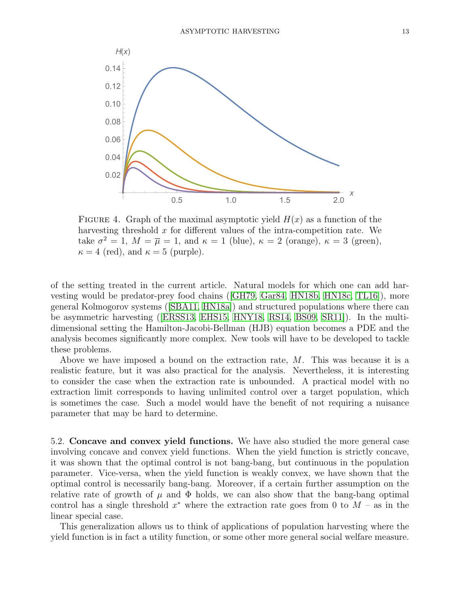<span id="page-13-1"></span>

FIGURE 4. Graph of the maximal asymptotic yield  $H(x)$  as a function of the harvesting threshold x for different values of the intra-competition rate. We take  $\sigma^2 = 1$ ,  $M = \overline{\mu} = 1$ , and  $\kappa = 1$  (blue),  $\kappa = 2$  (orange),  $\kappa = 3$  (green),  $\kappa = 4$  (red), and  $\kappa = 5$  (purple).

of the setting treated in the current article. Natural models for which one can add harvesting would be predator-prey food chains ([\[GH79,](#page-15-19) [Gar84,](#page-15-20) [HN18b,](#page-15-21) [HN18c,](#page-15-22) [TL16\]](#page-16-15)), more general Kolmogorov systems ([\[SBA11,](#page-16-9) [HN18a\]](#page-15-10)) and structured populations where there can be asymmetric harvesting ([\[ERSS13,](#page-15-9) [EHS15,](#page-15-8) [HNY18,](#page-15-23) [RS14,](#page-16-16) [BS09,](#page-15-24) [SR11\]](#page-16-17)). In the multidimensional setting the Hamilton-Jacobi-Bellman (HJB) equation becomes a PDE and the analysis becomes significantly more complex. New tools will have to be developed to tackle these problems.

Above we have imposed a bound on the extraction rate, M. This was because it is a realistic feature, but it was also practical for the analysis. Nevertheless, it is interesting to consider the case when the extraction rate is unbounded. A practical model with no extraction limit corresponds to having unlimited control over a target population, which is sometimes the case. Such a model would have the benefit of not requiring a nuisance parameter that may be hard to determine.

<span id="page-13-0"></span>5.2. Concave and convex yield functions. We have also studied the more general case involving concave and convex yield functions. When the yield function is strictly concave, it was shown that the optimal control is not bang-bang, but continuous in the population parameter. Vice-versa, when the yield function is weakly convex, we have shown that the optimal control is necessarily bang-bang. Moreover, if a certain further assumption on the relative rate of growth of  $\mu$  and  $\Phi$  holds, we can also show that the bang-bang optimal control has a single threshold  $x^*$  where the extraction rate goes from 0 to  $M$  – as in the linear special case.

This generalization allows us to think of applications of population harvesting where the yield function is in fact a utility function, or some other more general social welfare measure.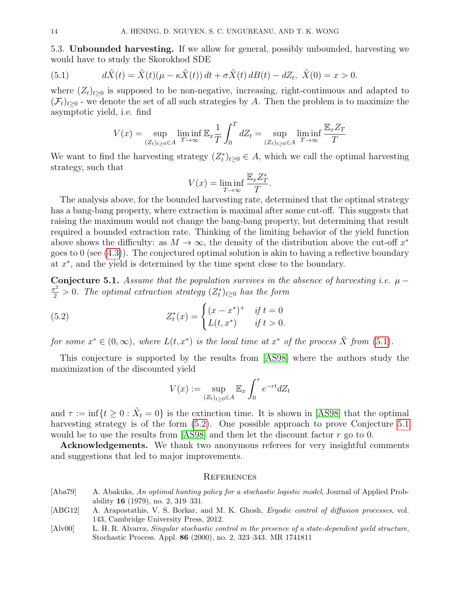<span id="page-14-0"></span>5.3. Unbounded harvesting. If we allow for general, possibly unbounded, harvesting we would have to study the Skorokhod SDE

<span id="page-14-5"></span>(5.1) 
$$
d\tilde{X}(t) = \tilde{X}(t)(\mu - \kappa \tilde{X}(t)) dt + \sigma \tilde{X}(t) dB(t) - dZ_t, \ \tilde{X}(0) = x > 0.
$$

where  $(Z_t)_{t\geq 0}$  is supposed to be non-negative, increasing, right-continuous and adapted to  $(\mathcal{F}_t)_{t>0}$  - we denote the set of all such strategies by A. Then the problem is to maximize the asymptotic yield, i.e. find

$$
V(x) = \sup_{(Z_t)_{t\geq 0}\in A} \liminf_{T\to\infty} \mathbb{E}_x \frac{1}{T} \int_0^T dZ_t = \sup_{(Z_t)_{t\geq 0}\in A} \liminf_{T\to\infty} \frac{\mathbb{E}_x Z_T}{T}
$$

We want to find the harvesting strategy  $(Z_t^*)_{t\geq 0} \in A$ , which we call the optimal harvesting strategy, such that

$$
V(x) = \liminf_{T \to \infty} \frac{\mathbb{E}_x Z_T^*}{T}.
$$

The analysis above, for the bounded harvesting rate, determined that the optimal strategy has a bang-bang property, where extraction is maximal after some cut-off. This suggests that raising the maximum would not change the bang-bang property, but determining that result required a bounded extraction rate. Thinking of the limiting behavior of the yield function above shows the difficulty: as  $M \to \infty$ , the density of the distribution above the cut-off  $x^*$ goes to  $(4.3)$ . The conjectured optimal solution is akin to having a reflective boundary at  $x^*$ , and the yield is determined by the time spent close to the boundary.

<span id="page-14-7"></span>Conjecture 5.1. Assume that the population survives in the absence of harvesting i.e.  $\mu$  −  $\frac{\sigma^2}{2} > 0$ . The optimal extraction strategy  $(Z_t^*)_{t \geq 0}$  has the form

(5.2) 
$$
Z_t^*(x) = \begin{cases} (x - x^*)^+ & \text{if } t = 0\\ L(t, x^*) & \text{if } t > 0. \end{cases}
$$

for some  $x^* \in (0, \infty)$ , where  $L(t, x^*)$  is the local time at  $x^*$  of the process  $\tilde{X}$  from [\(5.1\)](#page-14-5).

This conjecture is supported by the results from [\[AS98\]](#page-15-3) where the authors study the maximization of the discounted yield

<span id="page-14-6"></span>
$$
V(x) := \sup_{(Z_t)_{t\geq 0} \in A} \mathbb{E}_x \int_0^{\tau} e^{-rt} dZ_t
$$

and  $\tau := \inf\{t \geq 0 : \tilde{X}_t = 0\}$  is the extinction time. It is shown in [\[AS98\]](#page-15-3) that the optimal harvesting strategy is of the form  $(5.2)$ . One possible approach to prove Conjecture [5.1](#page-14-7) would be to use the results from [\[AS98\]](#page-15-3) and then let the discount factor r go to 0.

Acknowledgements. We thank two anonymous referees for very insightful comments and suggestions that led to major improvements.

#### <span id="page-14-1"></span>**REFERENCES**

- <span id="page-14-3"></span>[Aba79] A. Abakuks, An optimal hunting policy for a stochastic logistic model, Journal of Applied Probability 16 (1979), no. 2, 319–331.
- <span id="page-14-2"></span>[ABG12] A. Arapostathis, V. S. Borkar, and M. K. Ghosh, *Ergodic control of diffusion processes*, vol. 143, Cambridge University Press, 2012.
- <span id="page-14-4"></span>[Alv00] L. H. R. Alvarez, Singular stochastic control in the presence of a state-dependent yield structure, Stochastic Process. Appl. 86 (2000), no. 2, 323–343. MR 1741811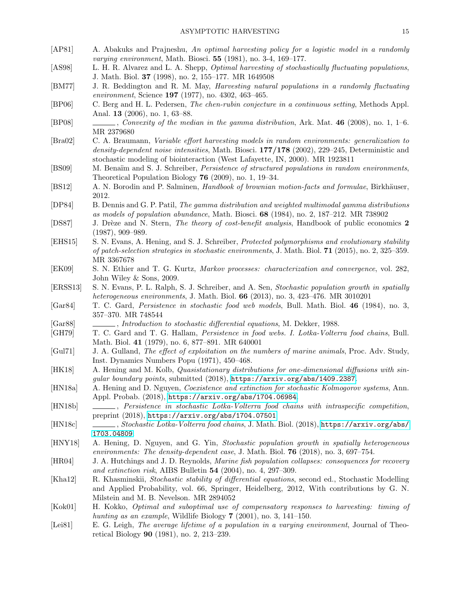- <span id="page-15-12"></span>[AP81] A. Abakuks and Prajneshu, An optimal harvesting policy for a logistic model in a randomly varying environment, Math. Biosci. 55 (1981), no. 3-4, 169–177.
- <span id="page-15-3"></span>[AS98] L. H. R. Alvarez and L. A. Shepp, Optimal harvesting of stochastically fluctuating populations, J. Math. Biol. 37 (1998), no. 2, 155–177. MR 1649508
- <span id="page-15-4"></span>[BM77] J. R. Beddington and R. M. May, Harvesting natural populations in a randomly fluctuating environment, Science 197 (1977), no. 4302, 463–465.
- <span id="page-15-17"></span>[BP06] C. Berg and H. L. Pedersen, The chen-rubin conjecture in a continuous setting, Methods Appl. Anal. 13 (2006), no. 1, 63–88.
- <span id="page-15-18"></span>[BP08] , Convexity of the median in the gamma distribution, Ark. Mat. 46 (2008), no. 1, 1–6. MR 2379680
- <span id="page-15-6"></span>[Bra02] C. A. Braumann, Variable effort harvesting models in random environments: generalization to density-dependent noise intensities, Math. Biosci. 177/178 (2002), 229–245, Deterministic and stochastic modeling of biointeraction (West Lafayette, IN, 2000). MR 1923811
- <span id="page-15-24"></span>[BS09] M. Benaïm and S. J. Schreiber, *Persistence of structured populations in random environments*, Theoretical Population Biology 76 (2009), no. 1, 19–34.
- <span id="page-15-16"></span>[BS12] A. N. Borodin and P. Salminen, *Handbook of brownian motion-facts and formulae*, Birkhäuser, 2012.
- <span id="page-15-13"></span>[DP84] B. Dennis and G. P. Patil, The gamma distribution and weighted multimodal gamma distributions as models of population abundance, Math. Biosci. 68 (1984), no. 2, 187–212. MR 738902
- <span id="page-15-11"></span>[DS87] J. Drèze and N. Stern, The theory of cost-benefit analysis, Handbook of public economics 2 (1987), 909–989.
- <span id="page-15-8"></span>[EHS15] S. N. Evans, A. Hening, and S. J. Schreiber, Protected polymorphisms and evolutionary stability of patch-selection strategies in stochastic environments, J. Math. Biol. 71 (2015), no. 2, 325–359. MR 3367678
- <span id="page-15-25"></span>[EK09] S. N. Ethier and T. G. Kurtz, Markov processes: characterization and convergence, vol. 282, John Wiley & Sons, 2009.
- <span id="page-15-9"></span>[ERSS13] S. N. Evans, P. L. Ralph, S. J. Schreiber, and A. Sen, Stochastic population growth in spatially heterogeneous environments, J. Math. Biol. 66 (2013), no. 3, 423–476. MR 3010201
- <span id="page-15-20"></span>[Gar84] T. C. Gard, Persistence in stochastic food web models, Bull. Math. Biol. 46 (1984), no. 3, 357–370. MR 748544

<span id="page-15-7"></span>[Gar88] , Introduction to stochastic differential equations, M. Dekker, 1988.

- <span id="page-15-19"></span>[GH79] T. C. Gard and T. G. Hallam, Persistence in food webs. I. Lotka-Volterra food chains, Bull. Math. Biol. 41 (1979), no. 6, 877–891. MR 640001
- <span id="page-15-0"></span>[Gul71] J. A. Gulland, The effect of exploitation on the numbers of marine animals, Proc. Adv. Study, Inst. Dynamics Numbers Popu (1971), 450–468.
- <span id="page-15-15"></span>[HK18] A. Hening and M. Kolb, Quasistationary distributions for one-dimensional diffusions with singular boundary points, submitted (2018), <https://arxiv.org/abs/1409.2387>.
- <span id="page-15-10"></span>[HN18a] A. Hening and D. Nguyen, *Coexistence and extinction for stochastic Kolmogorov systems*, Ann. Appl. Probab. (2018), [https://arxiv.org/abs/1704.06984]( https://arxiv.org/abs/1704.06984).
- <span id="page-15-21"></span>[HN18b] , Persistence in stochastic Lotka-Volterra food chains with intraspecific competition, preprint (2018), [https://arxiv.org/abs/1704.07501]( https://arxiv.org/abs/1704.07501).
- <span id="page-15-22"></span>[HN18c] , Stochastic Lotka-Volterra food chains, J. Math. Biol. (2018), [https://arxiv.org/abs/]( https://arxiv.org/abs/1703.04809) [1703.04809]( https://arxiv.org/abs/1703.04809).
- <span id="page-15-23"></span>[HNY18] A. Hening, D. Nguyen, and G. Yin, Stochastic population growth in spatially heterogeneous environments: The density-dependent case, J. Math. Biol. **76** (2018), no. 3, 697–754.
- <span id="page-15-1"></span>[HR04] J. A. Hutchings and J. D. Reynolds, Marine fish population collapses: consequences for recovery and extinction risk, AIBS Bulletin 54 (2004), no. 4, 297–309.
- <span id="page-15-14"></span>[Kha12] R. Khasminskii, Stochastic stability of differential equations, second ed., Stochastic Modelling and Applied Probability, vol. 66, Springer, Heidelberg, 2012, With contributions by G. N. Milstein and M. B. Nevelson. MR 2894052
- <span id="page-15-2"></span>[Kok01] H. Kokko, Optimal and suboptimal use of compensatory responses to harvesting: timing of hunting as an example, Wildlife Biology 7 (2001), no. 3, 141–150.
- <span id="page-15-5"></span>[Lei81] E. G. Leigh, The average lifetime of a population in a varying environment, Journal of Theoretical Biology 90 (1981), no. 2, 213–239.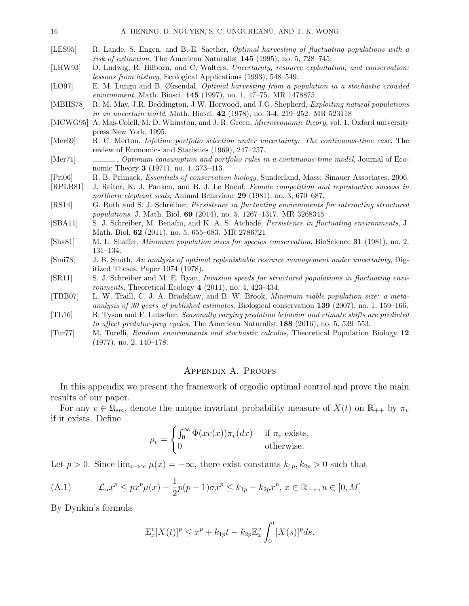- <span id="page-16-4"></span>[LES95] R. Lande, S. Engen, and B.-E. Saether, Optimal harvesting of fluctuating populations with a risk of extinction, The American Naturalist 145 (1995), no. 5, 728–745.
- <span id="page-16-2"></span>[LHW93] D. Ludwig, R. Hilborn, and C. Walters, Uncertainty, resource exploitation, and conservation: lessons from history, Ecological Applications (1993), 548–549.
- <span id="page-16-5"></span>[LØ97] E. M. Lungu and B. Øksendal, Optimal harvesting from a population in a stochastic crowded environment, Math. Biosci. 145 (1997), no. 1, 47–75. MR 1478875
- <span id="page-16-8"></span>[MBHS78] R. M. May, J.R. Beddington, J.W. Horwood, and J.G. Shepherd, Exploiting natural populations in an uncertain world, Math. Biosci. 42 (1978), no. 3-4, 219–252. MR 523118
- <span id="page-16-14"></span>[MCWG95] A. Mas-Colell, M. D. Whinston, and J. R. Green, *Microeconomic theory*, vol. 1, Oxford university press New York, 1995.
- <span id="page-16-12"></span>[Mer69] R. C. Merton, Lifetime portfolio selection under uncertainty: The continuous-time case, The review of Economics and Statistics (1969), 247–257.
- <span id="page-16-13"></span>[Mer71] , *Optimum consumption and portfolio rules in a continuous-time model*, Journal of Economic Theory 3 (1971), no. 4, 373–413.
- <span id="page-16-3"></span>[Pri06] R. B. Primack, Essentials of conservation biology, Sunderland, Mass: Sinauer Associates, 2006.
- <span id="page-16-1"></span>[RPLB81] J. Reiter, K. J. Panken, and B. J. Le Boeuf, Female competition and reproductive success in northern elephant seals, Animal Behaviour 29 (1981), no. 3, 670–687.
- <span id="page-16-16"></span>[RS14] G. Roth and S. J. Schreiber, Persistence in fluctuating environments for interacting structured populations, J. Math. Biol. 69 (2014), no. 5, 1267–1317. MR 3268345
- <span id="page-16-9"></span>[SBA11] S. J. Schreiber, M. Benaïm, and K. A. S. Atchadé, *Persistence in fluctuating environments*, J. Math. Biol. 62 (2011), no. 5, 655–683. MR 2786721
- <span id="page-16-10"></span>[Sha81] M. L. Shaffer, Minimum population sizes for species conservation, BioScience 31 (1981), no. 2, 131–134.
- <span id="page-16-6"></span>[Smi78] J. B. Smith, An analysis of optimal replenishable resource management under uncertainty, Digitized Theses, Paper 1074 (1978).
- <span id="page-16-17"></span>[SR11] S. J. Schreiber and M. E. Ryan, Invasion speeds for structured populations in fluctuating environments, Theoretical Ecology 4 (2011), no. 4, 423–434.
- <span id="page-16-11"></span>[TBB07] L. W. Traill, C. J. A. Bradshaw, and B. W. Brook, Minimum viable population size: a metaanalysis of 30 years of published estimates, Biological conservation 139 (2007), no. 1, 159–166.
- <span id="page-16-15"></span>[TL16] R. Tyson and F. Lutscher, Seasonally varying predation behavior and climate shifts are predicted to affect predator-prey cycles, The American Naturalist 188 (2016), no. 5, 539–553.
- <span id="page-16-7"></span>[Tur77] M. Turelli, Random environments and stochastic calculus, Theoretical Population Biology 12 (1977), no. 2, 140–178.

#### Appendix A. Proofs

<span id="page-16-0"></span>In this appendix we present the framework of ergodic optimal control and prove the main results of our paper.

For any  $v \in \mathfrak{U}_{sm}$ , denote the unique invariant probability measure of  $X(t)$  on  $\mathbb{R}_{++}$  by  $\pi_v$ if it exists. Define

$$
\rho_v = \begin{cases} \int_0^\infty \Phi(xv(x)) \pi_v(dx) & \text{if } \pi_v \text{ exists,} \\ 0 & \text{otherwise.} \end{cases}
$$

Let  $p > 0$ . Since  $\lim_{x \to \infty} \mu(x) = -\infty$ , there exist constants  $k_{1p}, k_{2p} > 0$  such that

<span id="page-16-18"></span>(A.1) 
$$
\mathcal{L}_u x^p \le px^p \mu(x) + \frac{1}{2} p(p-1) \sigma x^p \le k_{1p} - k_{2p} x^p, \ x \in \mathbb{R}_{++}, u \in [0, M]
$$

By Dynkin's formula

$$
\mathbb{E}_x^v[X(t)]^p \le x^p + k_{1p}t - k_{2p}\mathbb{E}_x^v \int_0^t [X(s)]^p ds.
$$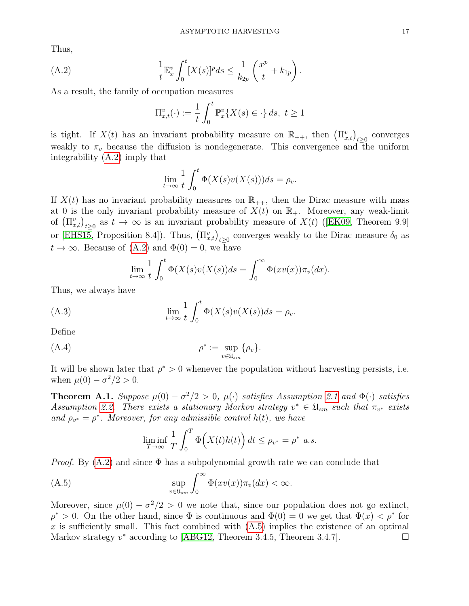Thus,

(A.2) 
$$
\frac{1}{t} \mathbb{E}_x^v \int_0^t [X(s)]^p ds \le \frac{1}{k_{2p}} \left( \frac{x^p}{t} + k_{1p} \right).
$$

As a result, the family of occupation measures

<span id="page-17-0"></span>
$$
\Pi_{x,t}^v(\cdot) := \frac{1}{t} \int_0^t \mathbb{P}_x^v \{ X(s) \in \cdot \} \, ds, \ t \ge 1
$$

is tight. If  $X(t)$  has an invariant probability measure on  $\mathbb{R}_{++}$ , then  $(\Pi_{x,t}^v)_{t\geq0}$  converges weakly to  $\pi_v$  because the diffusion is nondegenerate. This convergence and the uniform integrability [\(A.2\)](#page-17-0) imply that

$$
\lim_{t \to \infty} \frac{1}{t} \int_0^t \Phi(X(s)v(X(s)))ds = \rho_v.
$$

If  $X(t)$  has no invariant probability measures on  $\mathbb{R}_{++}$ , then the Dirac measure with mass at 0 is the only invariant probability measure of  $X(t)$  on  $\mathbb{R}_+$ . Moreover, any weak-limit of  $(\Pi_{x,t}^v)_{t\geq0}$  as  $t\to\infty$  is an invariant probability measure of  $X(t)$  ([\[EK09,](#page-15-25) Theorem 9.9] or [\[EHS15,](#page-15-8) Proposition 8.4]). Thus,  $(\Pi_{x,t}^v)_{t\geq 0}$  converges weakly to the Dirac measure  $\delta_0$  as  $t \to \infty$ . Because of  $(A.2)$  and  $\Phi(0) = 0$ , we have

<span id="page-17-2"></span>
$$
\lim_{t \to \infty} \frac{1}{t} \int_0^t \Phi(X(s)v(X(s))ds = \int_0^\infty \Phi(xv(x))\pi_v(dx).
$$

Thus, we always have

(A.3) 
$$
\lim_{t \to \infty} \frac{1}{t} \int_0^t \Phi(X(s)v(X(s))ds = \rho_v.
$$

Define

$$
\rho^* := \sup_{v \in \mathfrak{U}_{sm}} \{ \rho_v \}.
$$

It will be shown later that  $\rho^* > 0$  whenever the population without harvesting persists, i.e. when  $\mu(0) - \sigma^2/2 > 0$ .

**Theorem A.1.** Suppose  $\mu(0) - \sigma^2/2 > 0$ ,  $\mu(\cdot)$  satisfies Assumption [2.1](#page-4-4) and  $\Phi(\cdot)$  satisfies Assumption [2.2.](#page-5-2) There exists a stationary Markov strategy  $v^* \in \mathfrak{U}_{sm}$  such that  $\pi_{v^*}$  exists and  $\rho_{v^*} = \rho^*$ . Moreover, for any admissible control  $h(t)$ , we have

<span id="page-17-1"></span>
$$
\liminf_{T \to \infty} \frac{1}{T} \int_0^T \Phi\Big(X(t)h(t)\Big) dt \le \rho_{v^*} = \rho^* a.s.
$$

*Proof.* By  $(A.2)$  and since  $\Phi$  has a subpolynomial growth rate we can conclude that

(A.5) 
$$
\sup_{v \in \mathfrak{U}_{sm}} \int_0^\infty \Phi(xv(x)) \pi_v(dx) < \infty.
$$

Moreover, since  $\mu(0) - \sigma^2/2 > 0$  we note that, since our population does not go extinct,  $\rho^* > 0$ . On the other hand, since  $\Phi$  is continuous and  $\Phi(0) = 0$  we get that  $\Phi(x) < \rho^*$  for x is sufficiently small. This fact combined with  $(A.5)$  implies the existence of an optimal Markov strategy  $v^*$  according to [\[ABG12,](#page-14-2) Theorem 3.4.5, Theorem 3.4.7].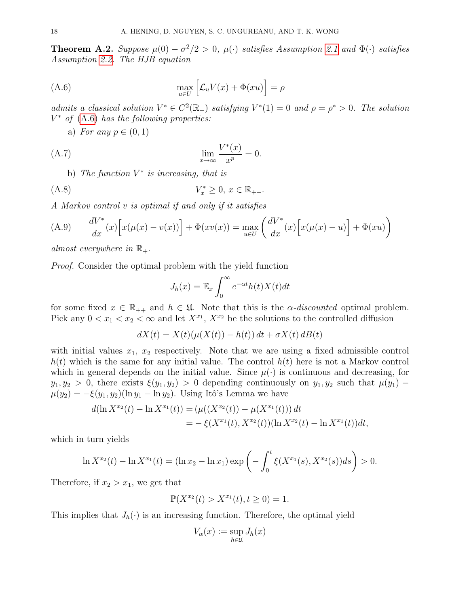<span id="page-18-3"></span>**Theorem A.2.** Suppose  $\mu(0) - \sigma^2/2 > 0$ ,  $\mu(\cdot)$  satisfies Assumption [2.1](#page-4-4) and  $\Phi(\cdot)$  satisfies Assumption [2.2.](#page-5-2) The HJB equation

$$
\max_{u \in U} \left[ \mathcal{L}_u V(x) + \Phi(xu) \right] = \rho
$$

admits a classical solution  $V^* \in C^2(\mathbb{R}_+)$  satisfying  $V^*(1) = 0$  and  $\rho = \rho^* > 0$ . The solution  $V^*$  of  $(A.6)$  has the following properties:

<span id="page-18-1"></span><span id="page-18-0"></span>a) For any  $p \in (0,1)$ 

$$
\lim_{x \to \infty} \frac{V^*(x)}{x^p} = 0.
$$

b) The function  $V^*$  is increasing, that is

$$
(A.8) \t\t\t V_x^* \ge 0, x \in \mathbb{R}_{++}.
$$

A Markov control v is optimal if and only if it satisfies

<span id="page-18-2"></span>(A.9) 
$$
\frac{dV^*}{dx}(x)\left[x(\mu(x) - v(x))\right] + \Phi(xv(x)) = \max_{u \in U} \left(\frac{dV^*}{dx}(x)\left[x(\mu(x) - u)\right] + \Phi(xu)\right)
$$

almost everywhere in  $\mathbb{R}_+$ .

Proof. Consider the optimal problem with the yield function

$$
J_h(x) = \mathbb{E}_x \int_0^\infty e^{-\alpha t} h(t) X(t) dt
$$

for some fixed  $x \in \mathbb{R}_{++}$  and  $h \in \mathfrak{U}$ . Note that this is the  $\alpha$ -discounted optimal problem. Pick any  $0 < x_1 < x_2 < \infty$  and let  $X^{x_1}$ ,  $X^{x_2}$  be the solutions to the controlled diffusion

$$
dX(t) = X(t)(\mu(X(t)) - h(t)) dt + \sigma X(t) dB(t)
$$

with initial values  $x_1$ ,  $x_2$  respectively. Note that we are using a fixed admissible control  $h(t)$  which is the same for any initial value. The control  $h(t)$  here is not a Markov control which in general depends on the initial value. Since  $\mu(\cdot)$  is continuous and decreasing, for  $y_1, y_2 > 0$ , there exists  $\xi(y_1, y_2) > 0$  depending continuously on  $y_1, y_2$  such that  $\mu(y_1)$  –  $\mu(y_2) = -\xi(y_1, y_2)(\ln y_1 - \ln y_2)$ . Using Itô's Lemma we have

$$
d(\ln X^{x_2}(t) - \ln X^{x_1}(t)) = (\mu((X^{x_2}(t)) - \mu(X^{x_1}(t))) dt
$$
  
=  $-\xi(X^{x_1}(t), X^{x_2}(t))(\ln X^{x_2}(t) - \ln X^{x_1}(t))dt,$ 

which in turn yields

$$
\ln X^{x_2}(t) - \ln X^{x_1}(t) = (\ln x_2 - \ln x_1) \exp \left(-\int_0^t \xi(X^{x_1}(s), X^{x_2}(s))ds\right) > 0.
$$

Therefore, if  $x_2 > x_1$ , we get that

$$
\mathbb{P}(X^{x_2}(t) > X^{x_1}(t), t \ge 0) = 1.
$$

This implies that  $J_h(\cdot)$  is an increasing function. Therefore, the optimal yield

$$
V_{\alpha}(x) := \sup_{h \in \mathfrak{U}} J_h(x)
$$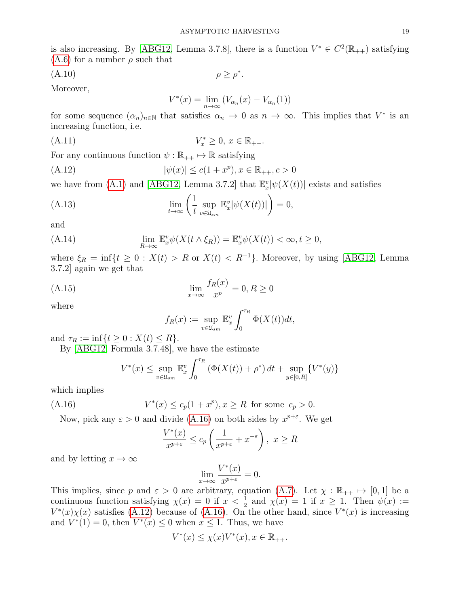is also increasing. By [\[ABG12,](#page-14-2) Lemma 3.7.8], there is a function  $V^* \in C^2(\mathbb{R}_{++})$  satisfying  $(A.6)$  for a number  $\rho$  such that

(A.10)  $\rho \ge \rho^*$ .

Moreover,

<span id="page-19-3"></span><span id="page-19-1"></span>
$$
V^*(x) = \lim_{n \to \infty} \left( V_{\alpha_n}(x) - V_{\alpha_n}(1) \right)
$$

for some sequence  $(\alpha_n)_{n\in\mathbb{N}}$  that satisfies  $\alpha_n \to 0$  as  $n \to \infty$ . This implies that  $V^*$  is an increasing function, i.e.

$$
(A.11) \t\t\t V_x^* \ge 0, x \in \mathbb{R}_{++}.
$$

For any continuous function  $\psi : \mathbb{R}_{++} \mapsto \mathbb{R}$  satisfying

(A.12) 
$$
|\psi(x)| \le c(1+x^p), x \in \mathbb{R}_{++}, c > 0
$$

we have from [\(A.1\)](#page-16-18) and [\[ABG12,](#page-14-2) Lemma 3.7.2] that  $\mathbb{E}_x^v[\psi(X(t))]$  exists and satisfies

(A.13) 
$$
\lim_{t \to \infty} \left( \frac{1}{t} \sup_{v \in \mathfrak{U}_{sm}} \mathbb{E}_x^v |\psi(X(t))| \right) = 0,
$$

and

(A.14) 
$$
\lim_{R \to \infty} \mathbb{E}_x^v \psi(X(t \wedge \xi_R)) = \mathbb{E}_x^v \psi(X(t)) < \infty, t \ge 0,
$$

where  $\xi_R = \inf\{t \geq 0 : X(t) > R$  or  $X(t) < R^{-1}\}\.$  Moreover, by using [\[ABG12,](#page-14-2) Lemma 3.7.2] again we get that

$$
\lim_{x \to \infty} \frac{f_R(x)}{x^p} = 0, R \ge 0
$$

where

<span id="page-19-2"></span>
$$
f_R(x) := \sup_{v \in \mathfrak{U}_{sm}} \mathbb{E}_x^v \int_0^{\tau_R} \Phi(X(t)) dt,
$$

and  $\tau_R := \inf\{t \geq 0 : X(t) \leq R\}.$ 

By [\[ABG12,](#page-14-2) Formula 3.7.48], we have the estimate

$$
V^*(x) \le \sup_{v \in \mathfrak{U}_{sm}} \mathbb{E}_x^v \int_0^{\tau_R} (\Phi(X(t)) + \rho^*) dt + \sup_{y \in [0,R]} \{ V^*(y) \}
$$

which implies

(A.16) 
$$
V^*(x) \le c_p(1+x^p), x \ge R
$$
 for some  $c_p > 0$ .

Now, pick any  $\varepsilon > 0$  and divide [\(A.16\)](#page-19-0) on both sides by  $x^{p+\varepsilon}$ . We get

<span id="page-19-0"></span>
$$
\frac{V^*(x)}{x^{p+\varepsilon}} \le c_p \left( \frac{1}{x^{p+\varepsilon}} + x^{-\varepsilon} \right), \ x \ge R
$$

and by letting  $x \to \infty$ 

$$
\lim_{x \to \infty} \frac{V^*(x)}{x^{p+\varepsilon}} = 0.
$$

This implies, since p and  $\varepsilon > 0$  are arbitrary, equation [\(A.7\)](#page-18-1). Let  $\chi : \mathbb{R}_{++} \mapsto [0,1]$  be a continuous function satisfying  $\chi(x) = 0$  if  $x < \frac{1}{2}$  and  $\chi(x) = 1$  if  $x \ge 1$ . Then  $\psi(x) :=$  $V^*(x)\chi(x)$  satisfies [\(A.12\)](#page-19-1) because of [\(A.16\)](#page-19-0). On the other hand, since  $V^*(x)$  is increasing and  $V^*(1) = 0$ , then  $V^*(x) \leq 0$  when  $x \leq 1$ . Thus, we have

$$
V^*(x) \le \chi(x)V^*(x), x \in \mathbb{R}_{++}.
$$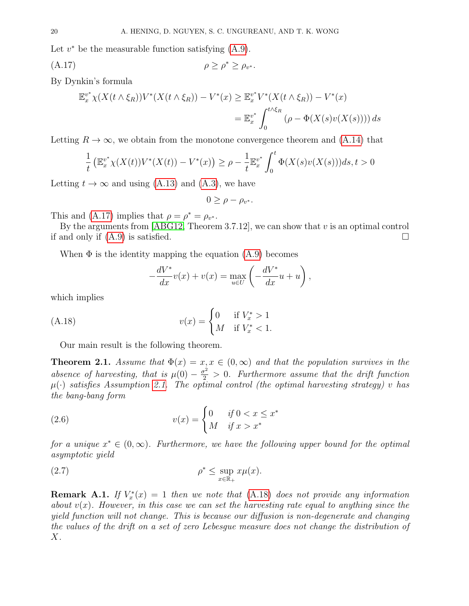Let  $v^*$  be the measurable function satisfying  $(A.9)$ .

$$
\rho \ge \rho^* \ge \rho_{v^*}.
$$

By Dynkin's formula

<span id="page-20-0"></span>
$$
\mathbb{E}_x^{v^*} \chi(X(t \wedge \xi_R)) V^*(X(t \wedge \xi_R)) - V^*(x) \ge \mathbb{E}_x^{v^*} V^*(X(t \wedge \xi_R)) - V^*(x)
$$
  
=  $\mathbb{E}_x^{v^*} \int_0^{t \wedge \xi_R} (\rho - \Phi(X(s)v(X(s)))) ds$ 

Letting  $R \to \infty$ , we obtain from the monotone convergence theorem and [\(A.14\)](#page-19-2) that

$$
\frac{1}{t}\left(\mathbb{E}_x^{v^*}\chi(X(t))V^*(X(t)) - V^*(x)\right) \ge \rho - \frac{1}{t}\mathbb{E}_x^{v^*} \int_0^t \Phi(X(s)v(X(s)))ds, t > 0
$$

Letting  $t \to \infty$  and using [\(A.13\)](#page-19-3) and [\(A.3\)](#page-17-2), we have

$$
0 \geq \rho - \rho_{v^*}.
$$

This and [\(A.17\)](#page-20-0) implies that  $\rho = \rho^* = \rho_{v^*}$ .

By the arguments from  $[ABG12, Theorem 3.7.12]$  $[ABG12, Theorem 3.7.12]$ , we can show that v is an optimal control if and only if  $(A.9)$  is satisfied.

When  $\Phi$  is the identity mapping the equation  $(A.9)$  becomes

<span id="page-20-1"></span>
$$
-\frac{dV^*}{dx}v(x) + v(x) = \max_{u \in U} \left(-\frac{dV^*}{dx}u + u\right),\,
$$

which implies

(A.18) 
$$
v(x) = \begin{cases} 0 & \text{if } V_x^* > 1 \\ M & \text{if } V_x^* < 1. \end{cases}
$$

Our main result is the following theorem.

**Theorem 2.1.** Assume that  $\Phi(x) = x, x \in (0, \infty)$  and that the population survives in the absence of harvesting, that is  $\mu(0) - \frac{\sigma^2}{2} > 0$ . Furthermore assume that the drift function  $\mu(\cdot)$  satisfies Assumption [2.1.](#page-4-4) The optimal control (the optimal harvesting strategy) v has the bang-bang form

(2.6) 
$$
v(x) = \begin{cases} 0 & \text{if } 0 < x \leq x^* \\ M & \text{if } x > x^* \end{cases}
$$

for a unique  $x^* \in (0,\infty)$ . Furthermore, we have the following upper bound for the optimal asymptotic yield

(2.7) 
$$
\rho^* \leq \sup_{x \in \mathbb{R}_+} x \mu(x).
$$

**Remark A.1.** If  $V_x^*(x) = 1$  then we note that [\(A.18\)](#page-20-1) does not provide any information about  $v(x)$ . However, in this case we can set the harvesting rate equal to anything since the yield function will not change. This is because our diffusion is non-degenerate and changing the values of the drift on a set of zero Lebesgue measure does not change the distribution of  $X$ .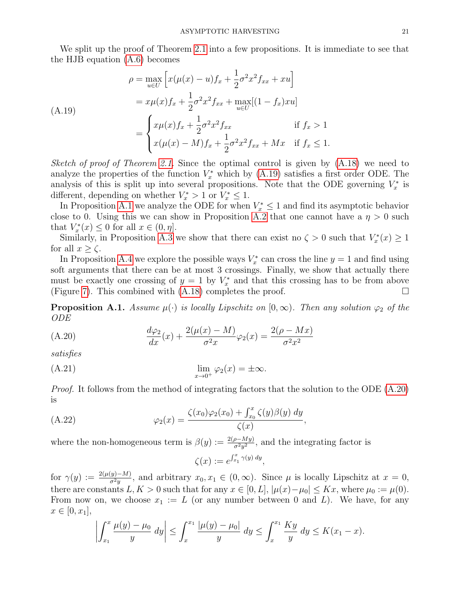<span id="page-21-0"></span>
$$
\rho = \max_{u \in U} \left[ x(\mu(x) - u) f_x + \frac{1}{2} \sigma^2 x^2 f_{xx} + xu \right]
$$
  
=  $x\mu(x) f_x + \frac{1}{2} \sigma^2 x^2 f_{xx} + \max_{u \in U} [(1 - f_x) xu]$   
=  $\begin{cases} x\mu(x) f_x + \frac{1}{2} \sigma^2 x^2 f_{xx} & \text{if } f_x > 1 \\ x(\mu(x) - M) f_x + \frac{1}{2} \sigma^2 x^2 f_{xx} + Mx & \text{if } f_x \le 1. \end{cases}$ 

Sketch of proof of Theorem [2.1.](#page-6-0) Since the optimal control is given by  $(A.18)$  we need to analyze the properties of the function  $V_x^*$  which by [\(A.19\)](#page-21-0) satisfies a first order ODE. The analysis of this is split up into several propositions. Note that the ODE governing  $V_x^*$  is different, depending on whether  $V_x^* > 1$  or  $V_x^* \leq 1$ .

In Proposition [A.1](#page-21-1) we analyze the ODE for when  $V_x^* \leq 1$  and find its asymptotic behavior close to 0. Using this we can show in Proposition [A.2](#page-22-0) that one cannot have a  $\eta > 0$  such that  $V_x^*(x) \leq 0$  for all  $x \in (0, \eta]$ .

Similarly, in Proposition [A.3](#page-23-0) we show that there can exist no  $\zeta > 0$  such that  $V_x^*(x) \geq 1$ for all  $x \geq \zeta$ .

In Proposition [A.4](#page-25-0) we explore the possible ways  $V_x^*$  can cross the line  $y = 1$  and find using soft arguments that there can be at most 3 crossings. Finally, we show that actually there must be exactly one crossing of  $y = 1$  by  $V_x^*$  and that this crossing has to be from above (Figure [7\)](#page-27-0). This combined with  $(A.18)$  completes the proof.  $\Box$ 

<span id="page-21-1"></span>**Proposition A.1.** Assume  $\mu(\cdot)$  is locally Lipschitz on  $[0,\infty)$ . Then any solution  $\varphi_2$  of the ODE

<span id="page-21-2"></span>(A.20) 
$$
\frac{d\varphi_2}{dx}(x) + \frac{2(\mu(x) - M)}{\sigma^2 x} \varphi_2(x) = \frac{2(\rho - Mx)}{\sigma^2 x^2}
$$

satisfies

$$
\lim_{x \to 0^+} \varphi_2(x) = \pm \infty.
$$

Proof. It follows from the method of integrating factors that the solution to the ODE [\(A.20\)](#page-21-2) is

<span id="page-21-3"></span>(A.22) 
$$
\varphi_2(x) = \frac{\zeta(x_0)\varphi_2(x_0) + \int_{x_0}^x \zeta(y)\beta(y) dy}{\zeta(x)},
$$

where the non-homogeneous term is  $\beta(y) := \frac{2(\rho - My)}{\sigma^2 y^2}$ , and the integrating factor is  $\zeta(x) := e^{\int_{x_1}^x \gamma(y) dy},$ 

for  $\gamma(y) := \frac{2(\mu(y)-M)}{\sigma^2 y}$ , and arbitrary  $x_0, x_1 \in (0,\infty)$ . Since  $\mu$  is locally Lipschitz at  $x = 0$ , there are constants  $L, K > 0$  such that for any  $x \in [0, L], |\mu(x) - \mu_0| \leq Kx$ , where  $\mu_0 := \mu(0)$ . From now on, we choose  $x_1 := L$  (or any number between 0 and L). We have, for any  $x \in [0, x_1],$ 

$$
\left| \int_{x_1}^x \frac{\mu(y) - \mu_0}{y} \, dy \right| \le \int_x^{x_1} \frac{|\mu(y) - \mu_0|}{y} \, dy \le \int_x^{x_1} \frac{Ky}{y} \, dy \le K(x_1 - x).
$$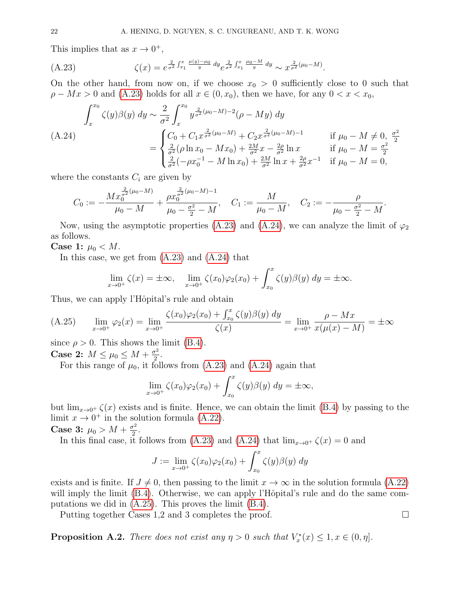This implies that as  $x \to 0^+,$ 

<span id="page-22-1"></span>(A.23) 
$$
\zeta(x) = e^{\frac{2}{\sigma^2} \int_{x_1}^x \frac{\mu(y) - \mu_0}{y} dy} e^{\frac{2}{\sigma^2} \int_{x_1}^x \frac{\mu_0 - M}{y} dy} \sim x^{\frac{2}{\sigma^2} (\mu_0 - M)}.
$$

On the other hand, from now on, if we choose  $x_0 > 0$  sufficiently close to 0 such that  $\rho - Mx > 0$  and [\(A.23\)](#page-22-1) holds for all  $x \in (0, x_0)$ , then we have, for any  $0 < x < x_0$ ,

<span id="page-22-2"></span>
$$
(A.24) \int_x^{x_0} \zeta(y)\beta(y) dy \sim \frac{2}{\sigma^2} \int_x^{x_0} y^{\frac{2}{\sigma^2}(\mu_0 - M) - 2} (\rho - My) dy
$$
  

$$
= \begin{cases} C_0 + C_1 x^{\frac{2}{\sigma^2}(\mu_0 - M)} + C_2 x^{\frac{2}{\sigma^2}(\mu_0 - M) - 1} & \text{if } \mu_0 - M \neq 0, \frac{\sigma^2}{2} \\ \frac{2}{\sigma^2}(\rho \ln x_0 - Mx_0) + \frac{2M}{\sigma^2} x - \frac{2\rho}{\sigma^2} \ln x & \text{if } \mu_0 - M = \frac{\sigma^2}{2} \\ \frac{2}{\sigma^2}(-\rho x_0^{-1} - M \ln x_0) + \frac{2M}{\sigma^2} \ln x + \frac{2\rho}{\sigma^2} x^{-1} & \text{if } \mu_0 - M = 0, \end{cases}
$$

where the constants  $C_i$  are given by

$$
C_0 := -\frac{M x_0^{\frac{2}{\sigma^2}(\mu_0 - M)}}{\mu_0 - M} + \frac{\rho x_0^{\frac{2}{\sigma^2}(\mu_0 - M) - 1}}{\mu_0 - \frac{\sigma^2}{2} - M}, \quad C_1 := \frac{M}{\mu_0 - M}, \quad C_2 := -\frac{\rho}{\mu_0 - \frac{\sigma^2}{2} - M}.
$$

Now, using the asymptotic properties [\(A.23\)](#page-22-1) and [\(A.24\)](#page-22-2), we can analyze the limit of  $\varphi_2$ as follows.

Case 1:  $\mu_0 < M$ .

In this case, we get from  $(A.23)$  and  $(A.24)$  that

$$
\lim_{x \to 0^+} \zeta(x) = \pm \infty, \quad \lim_{x \to 0^+} \zeta(x_0)\varphi_2(x_0) + \int_{x_0}^x \zeta(y)\beta(y) \, dy = \pm \infty.
$$

Thus, we can apply l'Hôpital's rule and obtain

<span id="page-22-3"></span>
$$
(A.25) \qquad \lim_{x \to 0^+} \varphi_2(x) = \lim_{x \to 0^+} \frac{\zeta(x_0)\varphi_2(x_0) + \int_{x_0}^x \zeta(y)\beta(y) \, dy}{\zeta(x)} = \lim_{x \to 0^+} \frac{\rho - Mx}{x(\mu(x) - M)} = \pm \infty
$$

since  $\rho > 0$ . This shows the limit [\(B.4\)](#page-30-0).

Case 2:  $M \leq \mu_0 \leq M + \frac{\sigma^2}{2}$  $rac{r^2}{2}$ .

For this range of  $\mu_0$ , it follows from [\(A.23\)](#page-22-1) and [\(A.24\)](#page-22-2) again that

$$
\lim_{x \to 0^+} \zeta(x_0)\varphi_2(x_0) + \int_{x_0}^x \zeta(y)\beta(y) \, dy = \pm \infty,
$$

but  $\lim_{x\to 0^+} \zeta(x)$  exists and is finite. Hence, we can obtain the limit [\(B.4\)](#page-30-0) by passing to the limit  $x \to 0^+$  in the solution formula [\(A.22\)](#page-21-3).

**Case 3:**  $\mu_0 > M + \frac{\sigma^2}{2}$  $rac{\sigma^2}{2}$ .

In this final case, it follows from [\(A.23\)](#page-22-1) and [\(A.24\)](#page-22-2) that  $\lim_{x\to 0^+} \zeta(x) = 0$  and

$$
J := \lim_{x \to 0^+} \zeta(x_0)\varphi_2(x_0) + \int_{x_0}^x \zeta(y)\beta(y) \, dy
$$

exists and is finite. If  $J \neq 0$ , then passing to the limit  $x \to \infty$  in the solution formula [\(A.22\)](#page-21-3) will imply the limit  $(B.4)$ . Otherwise, we can apply l'Hôpital's rule and do the same computations we did in [\(A.25\)](#page-22-3). This proves the limit [\(B.4\)](#page-30-0).

Putting together Cases 1,2 and 3 completes the proof.

<span id="page-22-0"></span>**Proposition A.2.** There does not exist any  $\eta > 0$  such that  $V_x^*(x) \leq 1, x \in (0, \eta]$ .

$$
\Box
$$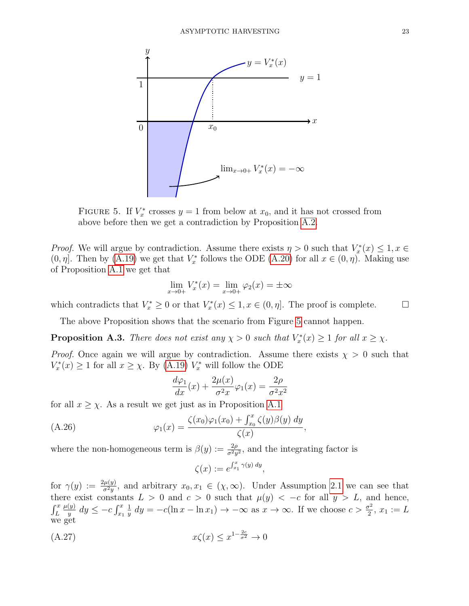<span id="page-23-1"></span>

FIGURE 5. If  $V_x^*$  crosses  $y = 1$  from below at  $x_0$ , and it has not crossed from above before then we get a contradiction by Proposition [A.2.](#page-22-0)

*Proof.* We will argue by contradiction. Assume there exists  $\eta > 0$  such that  $V_x^*(x) \leq 1, x \in$  $(0, \eta]$ . Then by [\(A.19\)](#page-21-0) we get that  $V_x^*$  follows the ODE [\(A.20\)](#page-21-2) for all  $x \in (0, \eta)$ . Making use of Proposition [A.1](#page-21-1) we get that

$$
\lim_{x \to 0+} V_x^*(x) = \lim_{x \to 0+} \varphi_2(x) = \pm \infty
$$

which contradicts that  $V_x^* \ge 0$  or that  $V_x^*(x) \le 1, x \in (0, \eta]$ . The proof is complete.

The above Proposition shows that the scenario from Figure [5](#page-23-1) cannot happen.

<span id="page-23-0"></span>**Proposition A.3.** There does not exist any  $\chi > 0$  such that  $V_x^*(x) \ge 1$  for all  $x \ge \chi$ .

*Proof.* Once again we will argue by contradiction. Assume there exists  $\chi > 0$  such that  $V_x^*(x) \ge 1$  for all  $x \ge \chi$ . By [\(A.19\)](#page-21-0)  $V_x^*$  will follow the ODE

$$
\frac{d\varphi_1}{dx}(x) + \frac{2\mu(x)}{\sigma^2 x}\varphi_1(x) = \frac{2\rho}{\sigma^2 x^2}
$$

for all  $x \geq \chi$ . As a result we get just as in Proposition [A.1](#page-21-1)

(A.26) 
$$
\varphi_1(x) = \frac{\zeta(x_0)\varphi_1(x_0) + \int_{x_0}^x \zeta(y)\beta(y) dy}{\zeta(x)},
$$

where the non-homogeneous term is  $\beta(y) := \frac{2\rho}{\sigma^2 y^2}$ , and the integrating factor is

<span id="page-23-2"></span>
$$
\zeta(x) := e^{\int_{x_1}^x \gamma(y) \, dy},
$$

for  $\gamma(y) := \frac{2\mu(y)}{\sigma^2 y}$ , and arbitrary  $x_0, x_1 \in (\chi, \infty)$ . Under Assumption [2.1](#page-4-4) we can see that there exist constants  $L > 0$  and  $c > 0$  such that  $\mu(y) < -c$  for all  $y > L$ , and hence,  $\int_L^x$  $\mu(y)$  $\frac{(y)}{y} dy \leq -c \int_{x_1}^x$ 1  $\frac{1}{y} dy = -c(\ln x - \ln x_1) \to -\infty$  as  $x \to \infty$ . If we choose  $c > \frac{\sigma^2}{2}$  $\frac{\sigma^2}{2}, x_1 := L$ we get

$$
(A.27) \t\t x\zeta(x) \le x^{1 - \frac{2c}{\sigma^2}} \to 0
$$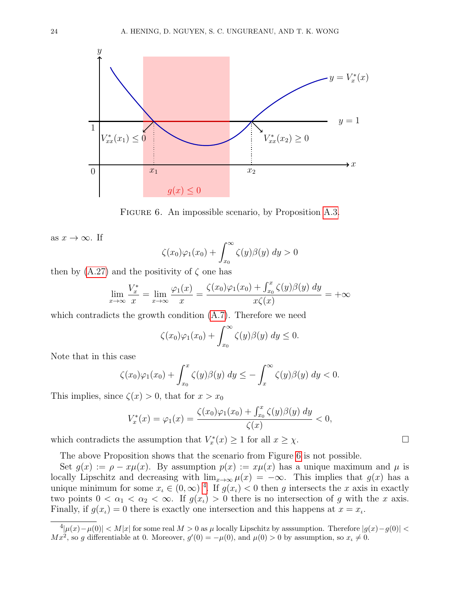<span id="page-24-0"></span>

FIGURE 6. An impossible scenario, by Proposition [A.3.](#page-23-0)

as  $x \to \infty$ . If

$$
\zeta(x_0)\varphi_1(x_0) + \int_{x_0}^{\infty} \zeta(y)\beta(y) \, dy > 0
$$

then by  $(A.27)$  and the positivity of  $\zeta$  one has

$$
\lim_{x \to \infty} \frac{V_x^*}{x} = \lim_{x \to \infty} \frac{\varphi_1(x)}{x} = \frac{\zeta(x_0)\varphi_1(x_0) + \int_{x_0}^x \zeta(y)\beta(y) \, dy}{x\zeta(x)} = +\infty
$$

which contradicts the growth condition  $(A.7)$ . Therefore we need

$$
\zeta(x_0)\varphi_1(x_0) + \int_{x_0}^{\infty} \zeta(y)\beta(y) \ dy \le 0.
$$

Note that in this case

$$
\zeta(x_0)\varphi_1(x_0) + \int_{x_0}^x \zeta(y)\beta(y) \, dy \le - \int_x^\infty \zeta(y)\beta(y) \, dy < 0.
$$

This implies, since  $\zeta(x) > 0$ , that for  $x > x_0$ 

$$
V_x^*(x) = \varphi_1(x) = \frac{\zeta(x_0)\varphi_1(x_0) + \int_{x_0}^x \zeta(y)\beta(y) \, dy}{\zeta(x)} < 0,
$$

which contradicts the assumption that  $V_x^*(x) \ge 1$  for all  $x \ge \chi$ .

The above Proposition shows that the scenario from Figure [6](#page-24-0) is not possible.

Set  $g(x) := \rho - x\mu(x)$ . By assumption  $p(x) := x\mu(x)$  has a unique maximum and  $\mu$  is locally Lipschitz and decreasing with  $\lim_{x\to\infty} \mu(x) = -\infty$ . This implies that  $g(x)$  has a unique minimum for some  $x_i \in (0,\infty)$ <sup>[4](#page-24-1)</sup>. If  $g(x_i) < 0$  then g intersects the x axis in exactly two points  $0 < \alpha_1 < \alpha_2 < \infty$ . If  $g(x_i) > 0$  there is no intersection of g with the x axis. Finally, if  $g(x_i) = 0$  there is exactly one intersection and this happens at  $x = x_i$ .

$$
\qquad \qquad \Box
$$

<span id="page-24-1"></span> $\frac{4|\mu(x)-\mu(0)|}{\mu(x)-\mu(0)}$  < M|x| for some real  $M > 0$  as  $\mu$  locally Lipschitz by assumption. Therefore  $|g(x)-g(0)|$  <  $Mx^2$ , so g differentiable at 0. Moreover,  $g'(0) = -\mu(0)$ , and  $\mu(0) > 0$  by assumption, so  $x_i \neq 0$ .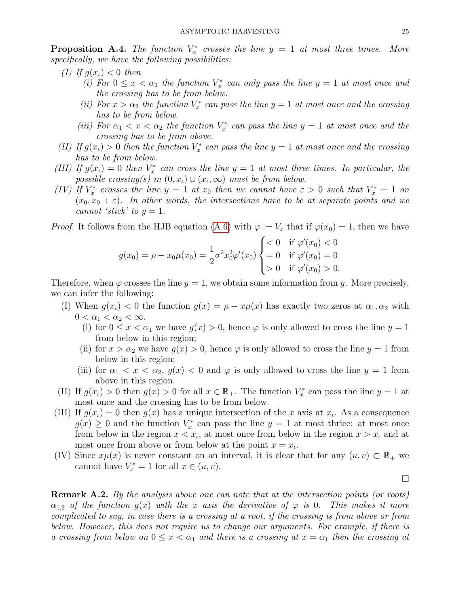<span id="page-25-0"></span>**Proposition A.4.** The function  $V_x^*$  crosses the line  $y = 1$  at most three times. More specifically, we have the following possibilities:

- (I) If  $g(x_i) < 0$  then
	- (i) For  $0 \leq x < \alpha_1$  the function  $V_x^*$  can only pass the line  $y = 1$  at most once and the crossing has to be from below.
	- (ii) For  $x > \alpha_2$  the function  $V_x^*$  can pass the line  $y = 1$  at most once and the crossing has to be from below.
	- (iii) For  $\alpha_1 < x < \alpha_2$  the function  $V_x^*$  can pass the line  $y = 1$  at most once and the crossing has to be from above.
- (II) If  $g(x_t) > 0$  then the function  $V_x^*$  can pass the line  $y = 1$  at most once and the crossing has to be from below.
- (III) If  $g(x_i) = 0$  then  $V_x^*$  can cross the line  $y = 1$  at most three times. In particular, the possible crossing(s) in  $(0, x_i) \cup (x_i, \infty)$  must be from below.
- (IV) If  $V_x^*$  crosses the line  $y = 1$  at  $x_0$  then we cannot have  $\varepsilon > 0$  such that  $V_x^* = 1$  on  $(x_0, x_0 + \varepsilon)$ . In other words, the intersections have to be at separate points and we cannot 'stick' to  $y = 1$ .

*Proof.* It follows from the HJB equation [\(A.6\)](#page-18-0) with  $\varphi := V_x$  that if  $\varphi(x_0) = 1$ , then we have

$$
g(x_0) = \rho - x_0 \mu(x_0) = \frac{1}{2} \sigma^2 x_0^2 \varphi'(x_0) \begin{cases} < 0 & \text{if } \varphi'(x_0) < 0 \\ = 0 & \text{if } \varphi'(x_0) = 0 \\ > 0 & \text{if } \varphi'(x_0) > 0. \end{cases}
$$

Therefore, when  $\varphi$  crosses the line  $y = 1$ , we obtain some information from g. More precisely, we can infer the following:

- (I) When  $g(x_i) < 0$  the function  $g(x) = \rho x\mu(x)$  has exactly two zeros at  $\alpha_1, \alpha_2$  with  $0 < \alpha_1 < \alpha_2 < \infty$ .
	- (i) for  $0 \le x < \alpha_1$  we have  $g(x) > 0$ , hence  $\varphi$  is only allowed to cross the line  $y = 1$ from below in this region;
	- (ii) for  $x > \alpha_2$  we have  $g(x) > 0$ , hence  $\varphi$  is only allowed to cross the line  $y = 1$  from below in this region;
	- (iii) for  $\alpha_1 < x < \alpha_2$ ,  $g(x) < 0$  and  $\varphi$  is only allowed to cross the line  $y = 1$  from above in this region.
- (II) If  $g(x_i) > 0$  then  $g(x) > 0$  for all  $x \in \mathbb{R}_+$ . The function  $V_x^*$  can pass the line  $y = 1$  at most once and the crossing has to be from below.
- (III) If  $g(x_i) = 0$  then  $g(x)$  has a unique intersection of the x axis at  $x_i$ . As a consequence  $g(x) \geq 0$  and the function  $V_x^*$  can pass the line  $y = 1$  at most thrice: at most once from below in the region  $x < x_i$ , at most once from below in the region  $x > x_i$  and at most once from above or from below at the point  $x = x_i$ .
- (IV) Since  $x\mu(x)$  is never constant on an interval, it is clear that for any  $(u, v) \subset \mathbb{R}_+$  we cannot have  $V_x^* = 1$  for all  $x \in (u, v)$ .

**Remark A.2.** By the analysis above one can note that at the intersection points (or roots)  $\alpha_{1,2}$  of the function  $g(x)$  with the x axis the derivative of  $\varphi$  is 0. This makes it more complicated to say, in case there is a crossing at a root, if the crossing is from above or from below. However, this does not require us to change our arguments. For example, if there is a crossing from below on  $0 \leq x < \alpha_1$  and there is a crossing at  $x = \alpha_1$  then the crossing at

 $\Box$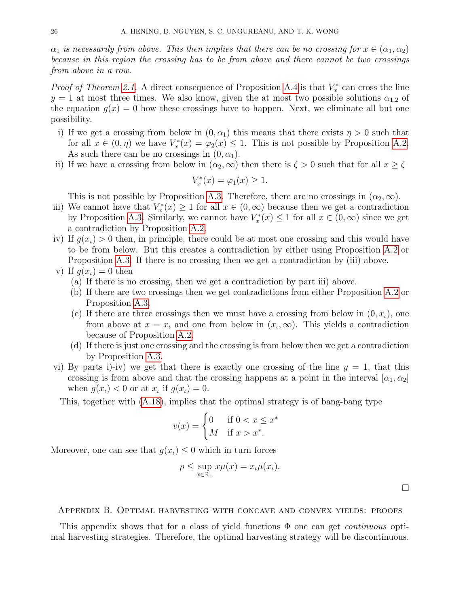$\alpha_1$  is necessarily from above. This then implies that there can be no crossing for  $x \in (\alpha_1, \alpha_2)$ because in this region the crossing has to be from above and there cannot be two crossings from above in a row.

*Proof of Theorem [2.1.](#page-6-0)* A direct consequence of Proposition [A.4](#page-25-0) is that  $V_x^*$  can cross the line  $y = 1$  at most three times. We also know, given the at most two possible solutions  $\alpha_{1,2}$  of the equation  $q(x) = 0$  how these crossings have to happen. Next, we eliminate all but one possibility.

- i) If we get a crossing from below in  $(0, \alpha_1)$  this means that there exists  $\eta > 0$  such that for all  $x \in (0, \eta)$  we have  $V_x^*(x) = \varphi_2(x) \leq 1$ . This is not possible by Proposition [A.2.](#page-22-0) As such there can be no crossings in  $(0, \alpha_1)$ .
- ii) If we have a crossing from below in  $(\alpha_2, \infty)$  then there is  $\zeta > 0$  such that for all  $x \ge \zeta$

$$
V_x^*(x) = \varphi_1(x) \ge 1.
$$

This is not possible by Proposition [A.3.](#page-23-0) Therefore, there are no crossings in  $(\alpha_2,\infty)$ .

- iii) We cannot have that  $V_x^*(x) \geq 1$  for all  $x \in (0, \infty)$  because then we get a contradiction by Proposition [A.3.](#page-23-0) Similarly, we cannot have  $V_x^*(x) \leq 1$  for all  $x \in (0, \infty)$  since we get a contradiction by Proposition [A.2.](#page-22-0)
- iv) If  $g(x_i) > 0$  then, in principle, there could be at most one crossing and this would have to be from below. But this creates a contradiction by either using Proposition [A.2](#page-22-0) or Proposition [A.3.](#page-23-0) If there is no crossing then we get a contradiction by (iii) above.

v) If 
$$
g(x_i) = 0
$$
 then

- (a) If there is no crossing, then we get a contradiction by part iii) above.
- (b) If there are two crossings then we get contradictions from either Proposition [A.2](#page-22-0) or Proposition [A.3.](#page-23-0)
- (c) If there are three crossings then we must have a crossing from below in  $(0, x_i)$ , one from above at  $x = x_i$  and one from below in  $(x_i, \infty)$ . This yields a contradiction because of Proposition [A.2.](#page-22-0)
- (d) If there is just one crossing and the crossing is from below then we get a contradiction by Proposition [A.3.](#page-23-0)

∗

vi) By parts i)-iv) we get that there is exactly one crossing of the line  $y = 1$ , that this crossing is from above and that the crossing happens at a point in the interval  $[\alpha_1, \alpha_2]$ when  $g(x_i) < 0$  or at  $x_i$  if  $g(x_i) = 0$ .

This, together with [\(A.18\)](#page-20-1), implies that the optimal strategy is of bang-bang type

$$
v(x) = \begin{cases} 0 & \text{if } 0 < x \le x \\ M & \text{if } x > x^* \end{cases}
$$

Moreover, one can see that  $g(x_i) \leq 0$  which in turn forces

$$
\rho \leq \sup_{x \in \mathbb{R}_+} x \mu(x) = x \mu(x_\iota).
$$

 $\Box$ 

<span id="page-26-0"></span>Appendix B. Optimal harvesting with concave and convex yields: proofs

This appendix shows that for a class of yield functions  $\Phi$  one can get *continuous* optimal harvesting strategies. Therefore, the optimal harvesting strategy will be discontinuous.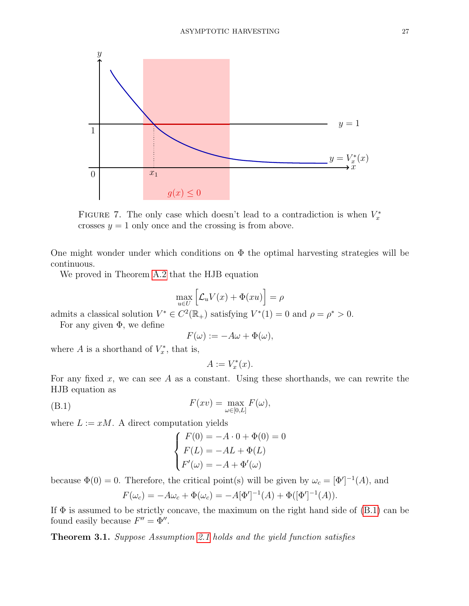<span id="page-27-0"></span>

FIGURE 7. The only case which doesn't lead to a contradiction is when  $V_x^*$ crosses  $y = 1$  only once and the crossing is from above.

One might wonder under which conditions on  $\Phi$  the optimal harvesting strategies will be continuous.

We proved in Theorem [A.2](#page-18-3) that the HJB equation

$$
\max_{u \in U} \left[ \mathcal{L}_u V(x) + \Phi(xu) \right] = \rho
$$

admits a classical solution  $V^* \in C^2(\mathbb{R}_+)$  satisfying  $V^*(1) = 0$  and  $\rho = \rho^* > 0$ .

For any given  $\Phi$ , we define

$$
F(\omega) := -A\omega + \Phi(\omega),
$$

where  $A$  is a shorthand of  $V_x^*$ , that is,

$$
A := V_x^*(x).
$$

For any fixed  $x$ , we can see  $A$  as a constant. Using these shorthands, we can rewrite the HJB equation as

$$
(B.1) \t\t\t F(xv) = \max_{\omega \in [0,L]} F(\omega),
$$

where  $L := xM$ . A direct computation yields

<span id="page-27-1"></span>
$$
\begin{cases}\nF(0) = -A \cdot 0 + \Phi(0) = 0 \\
F(L) = -AL + \Phi(L) \\
F'(\omega) = -A + \Phi'(\omega)\n\end{cases}
$$

because  $\Phi(0) = 0$ . Therefore, the critical point(s) will be given by  $\omega_c = [\Phi']^{-1}(A)$ , and

$$
F(\omega_c) = -A\omega_c + \Phi(\omega_c) = -A[\Phi']^{-1}(A) + \Phi([\Phi']^{-1}(A)).
$$

If  $\Phi$  is assumed to be strictly concave, the maximum on the right hand side of  $(B.1)$  can be found easily because  $F'' = \Phi''$ .

Theorem 3.1. Suppose Assumption [2.1](#page-4-4) holds and the yield function satisfies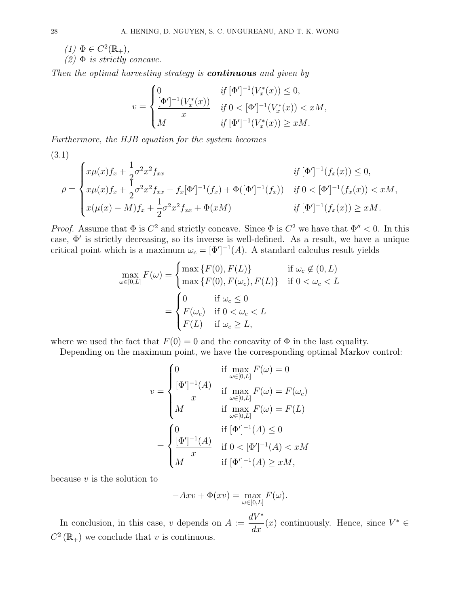(1)  $\Phi \in C^2(\mathbb{R}_+),$ 

 $(2)$   $\Phi$  is strictly concave.

Then the optimal harvesting strategy is **continuous** and given by

$$
v = \begin{cases} 0 & \text{if } [\Phi']^{-1}(V_x^*(x)) \le 0, \\ \frac{[\Phi']^{-1}(V_x^*(x))}{x} & \text{if } 0 < [\Phi']^{-1}(V_x^*(x)) < xM, \\ M & \text{if } [\Phi']^{-1}(V_x^*(x)) \ge xM. \end{cases}
$$

Furthermore, the HJB equation for the system becomes

(3.1)

$$
\rho = \begin{cases}\n x\mu(x)f_x + \frac{1}{2}\sigma^2 x^2 f_{xx} & \text{if } [\Phi']^{-1}(f_x(x)) \le 0, \\
 x\mu(x)f_x + \frac{1}{2}\sigma^2 x^2 f_{xx} - f_x[\Phi']^{-1}(f_x) + \Phi([\Phi']^{-1}(f_x)) & \text{if } 0 < [\Phi']^{-1}(f_x(x)) < xM, \\
 x(\mu(x) - M)f_x + \frac{1}{2}\sigma^2 x^2 f_{xx} + \Phi(xM) & \text{if } [\Phi']^{-1}(f_x(x)) \ge xM.\n\end{cases}
$$

*Proof.* Assume that  $\Phi$  is  $C^2$  and strictly concave. Since  $\Phi$  is  $C^2$  we have that  $\Phi'' < 0$ . In this case,  $\Phi'$  is strictly decreasing, so its inverse is well-defined. As a result, we have a unique critical point which is a maximum  $\omega_c = [\Phi']^{-1}(A)$ . A standard calculus result yields

$$
\max_{\omega \in [0,L]} F(\omega) = \begin{cases} \max \{ F(0), F(L) \} & \text{if } \omega_c \notin (0,L) \\ \max \{ F(0), F(\omega_c), F(L) \} & \text{if } 0 < \omega_c < L \end{cases}
$$
\n
$$
= \begin{cases} 0 & \text{if } \omega_c \le 0 \\ F(\omega_c) & \text{if } 0 < \omega_c < L \\ F(L) & \text{if } \omega_c \ge L, \end{cases}
$$

where we used the fact that  $F(0) = 0$  and the concavity of  $\Phi$  in the last equality.

Depending on the maximum point, we have the corresponding optimal Markov control:

$$
v = \begin{cases} 0 & \text{if } \max_{\omega \in [0,L]} F(\omega) = 0 \\ \frac{[\Phi']^{-1}(A)}{x} & \text{if } \max_{\omega \in [0,L]} F(\omega) = F(\omega_c) \\ M & \text{if } \max_{\omega \in [0,L]} F(\omega) = F(L) \\ \end{cases}
$$

$$
= \begin{cases} 0 & \text{if } [\Phi']^{-1}(A) \le 0 \\ \frac{[\Phi']^{-1}(A)}{x} & \text{if } 0 < [\Phi']^{-1}(A) < xM \\ M & \text{if } [\Phi']^{-1}(A) \ge xM, \end{cases}
$$

because  $v$  is the solution to

$$
-Axv + \Phi(xv) = \max_{\omega \in [0,L]} F(\omega).
$$

In conclusion, in this case,  $v$  depends on  $A :=$  $dV^*$  $\frac{\partial v}{\partial x}(x)$  continuously. Hence, since  $V^* \in$  $C^2(\mathbb{R}_+)$  we conclude that v is continuous.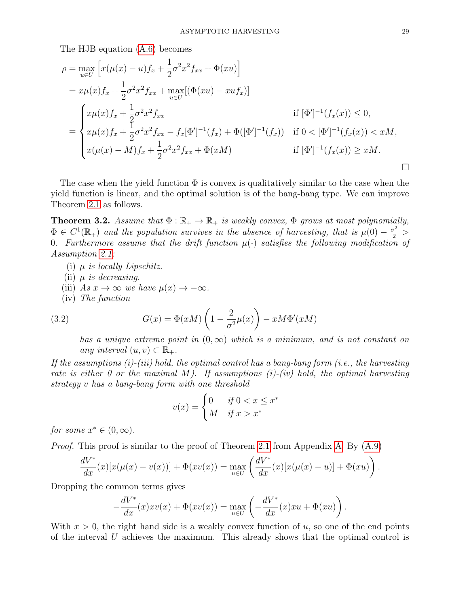The HJB equation [\(A.6\)](#page-18-0) becomes

$$
\rho = \max_{u \in U} \left[ x(\mu(x) - u) f_x + \frac{1}{2} \sigma^2 x^2 f_{xx} + \Phi(xu) \right]
$$
  
\n
$$
= x\mu(x) f_x + \frac{1}{2} \sigma^2 x^2 f_{xx} + \max_{u \in U} [(\Phi(xu) - xu f_x)]
$$
  
\n
$$
= \begin{cases} x\mu(x) f_x + \frac{1}{2} \sigma^2 x^2 f_{xx} & \text{if } [\Phi']^{-1}(f_x(x)) \le 0, \\ x\mu(x) f_x + \frac{1}{2} \sigma^2 x^2 f_{xx} - f_x[\Phi']^{-1}(f_x) + \Phi([\Phi']^{-1}(f_x)) & \text{if } 0 < [\Phi']^{-1}(f_x(x)) < xM, \\ x(\mu(x) - M) f_x + \frac{1}{2} \sigma^2 x^2 f_{xx} + \Phi(xM) & \text{if } [\Phi']^{-1}(f_x(x)) \ge xM. \end{cases}
$$

The case when the yield function  $\Phi$  is convex is qualitatively similar to the case when the yield function is linear, and the optimal solution is of the bang-bang type. We can improve Theorem [2.1](#page-6-0) as follows.

**Theorem 3.2.** Assume that  $\Phi : \mathbb{R}_+ \to \mathbb{R}_+$  is weakly convex,  $\Phi$  grows at most polynomially,  $\Phi \in C^1(\mathbb{R}_+)$  and the population survives in the absence of harvesting, that is  $\mu(0) - \frac{\sigma^2}{2} >$ 0. Furthermore assume that the drift function  $\mu(\cdot)$  satisfies the following modification of Assumption [2.1:](#page-4-4)

- (i)  $\mu$  is locally Lipschitz.
- (ii)  $\mu$  is decreasing.
- (iii) As  $x \to \infty$  we have  $\mu(x) \to -\infty$ .
- (iv) The function

(3.2) 
$$
G(x) = \Phi(xM) \left(1 - \frac{2}{\sigma^2} \mu(x)\right) - xM\Phi'(xM)
$$

has a unique extreme point in  $(0,\infty)$  which is a minimum, and is not constant on any interval  $(u, v) \subset \mathbb{R}_+$ .

If the assumptions (i)-(iii) hold, the optimal control has a bang-bang form (i.e., the harvesting rate is either 0 or the maximal M). If assumptions (i)-(iv) hold, the optimal harvesting strategy v has a bang-bang form with one threshold

$$
v(x) = \begin{cases} 0 & \text{if } 0 < x \leq x^* \\ M & \text{if } x > x^* \end{cases}
$$

for some  $x^* \in (0, \infty)$ .

*Proof.* This proof is similar to the proof of Theorem [2.1](#page-6-0) from Appendix [A.](#page-16-0) By  $(A.9)$ 

$$
\frac{dV^*}{dx}(x)[x(\mu(x) - v(x))] + \Phi(xv(x)) = \max_{u \in U} \left( \frac{dV^*}{dx}(x)[x(\mu(x) - u)] + \Phi(xu) \right).
$$

Dropping the common terms gives

$$
-\frac{dV^*}{dx}(x)xv(x) + \Phi(xv(x)) = \max_{u \in U} \left(-\frac{dV^*}{dx}(x)xu + \Phi(xu)\right).
$$

With  $x > 0$ , the right hand side is a weakly convex function of u, so one of the end points of the interval  $U$  achieves the maximum. This already shows that the optimal control is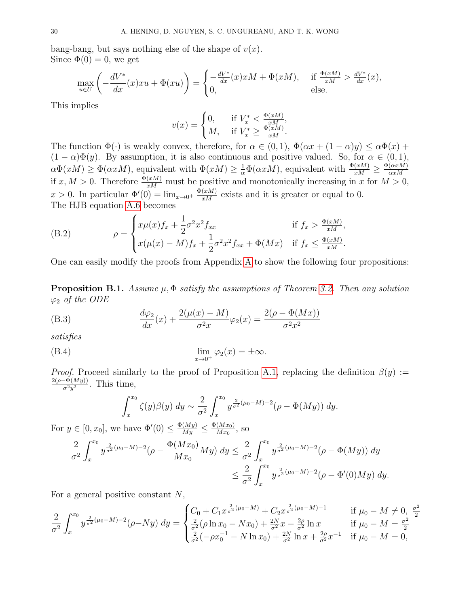bang-bang, but says nothing else of the shape of  $v(x)$ . Since  $\Phi(0) = 0$ , we get

$$
\max_{u \in U} \left( -\frac{dV^*}{dx}(x)xu + \Phi(xu) \right) = \begin{cases} -\frac{dV^*}{dx}(x)xM + \Phi(xM), & \text{if } \frac{\Phi(xM)}{xM} > \frac{dV^*}{dx}(x), \\ 0, & \text{else.} \end{cases}
$$

This implies

$$
v(x) = \begin{cases} 0, & \text{if } V_x^* < \frac{\Phi(xM)}{xM}, \\ M, & \text{if } V_x^* \ge \frac{\Phi(xM)}{xM}. \end{cases}
$$

The function  $\Phi(\cdot)$  is weakly convex, therefore, for  $\alpha \in (0,1)$ ,  $\Phi(\alpha x + (1-\alpha)y) \leq \alpha \Phi(x) +$  $(1 - \alpha)\Phi(y)$ . By assumption, it is also continuous and positive valued. So, for  $\alpha \in (0, 1)$ ,  $\alpha\Phi(xM) \geq \Phi(\alpha xM)$ , equivalent with  $\Phi(xM) \geq \frac{1}{\alpha}\Phi(\alpha xM)$ , equivalent with  $\frac{\Phi(xM)}{xM} \geq \frac{\Phi(\alpha xM)}{\alpha xM}$ αxM if  $x, M > 0$ . Therefore  $\frac{\Phi(xM)}{xM}$  must be positive and monotonically increasing in x for  $M > 0$ ,  $x > 0$ . In particular  $\Phi'(0) = \lim_{x \to 0^+} \frac{\Phi(xM)}{xM}$  exists and it is greater or equal to 0. The HJB equation [A.6](#page-18-0) becomes

<span id="page-30-3"></span>(B.2) 
$$
\rho = \begin{cases} x\mu(x)f_x + \frac{1}{2}\sigma^2 x^2 f_{xx} & \text{if } f_x > \frac{\Phi(xM)}{xM}, \\ x(\mu(x) - M)f_x + \frac{1}{2}\sigma^2 x^2 f_{xx} + \Phi(Mx) & \text{if } f_x \le \frac{\Phi(xM)}{xM}. \end{cases}
$$

One can easily modify the proofs from Appendix [A](#page-16-0) to show the following four propositions:

<span id="page-30-1"></span>**Proposition B.1.** Assume  $\mu$ ,  $\Phi$  satisfy the assumptions of Theorem [3.2.](#page-7-1) Then any solution  $\varphi_2$  of the ODE

(B.3) 
$$
\frac{d\varphi_2}{dx}(x) + \frac{2(\mu(x) - M)}{\sigma^2 x} \varphi_2(x) = \frac{2(\rho - \Phi(Mx))}{\sigma^2 x^2}
$$

satisfies

(B.4) 
$$
\lim_{x \to 0^+} \varphi_2(x) = \pm \infty.
$$

*Proof.* Proceed similarly to the proof of Proposition [A.1,](#page-21-1) replacing the definition  $\beta(y)$  :=  $2(\rho-\Phi(My))$  $\frac{(-\Phi(My))}{\sigma^2 y^2}$ . This time,

<span id="page-30-2"></span><span id="page-30-0"></span>
$$
\int_x^{x_0} \zeta(y)\beta(y) dy \sim \frac{2}{\sigma^2} \int_x^{x_0} y^{\frac{2}{\sigma^2}(\mu_0 - M) - 2} (\rho - \Phi(My)) dy.
$$

For 
$$
y \in [0, x_0]
$$
, we have  $\Phi'(0) \le \frac{\Phi(My)}{My} \le \frac{\Phi(Mx_0)}{Mx_0}$ , so  
\n
$$
\frac{2}{\sigma^2} \int_x^{x_0} y^{\frac{2}{\sigma^2}(\mu_0 - M) - 2} (\rho - \frac{\Phi(Mx_0)}{Mx_0} My) dy \le \frac{2}{\sigma^2} \int_x^{x_0} y^{\frac{2}{\sigma^2}(\mu_0 - M) - 2} (\rho - \Phi(My)) dy
$$
\n
$$
\le \frac{2}{\sigma^2} \int_x^{x_0} y^{\frac{2}{\sigma^2}(\mu_0 - M) - 2} (\rho - \Phi'(0) My) dy.
$$

For a general positive constant  $N$ ,

$$
\frac{2}{\sigma^2} \int_x^{x_0} y^{\frac{2}{\sigma^2}(\mu_0 - M) - 2} (\rho - Ny) \, dy = \begin{cases} C_0 + C_1 x^{\frac{2}{\sigma^2}(\mu_0 - M)} + C_2 x^{\frac{2}{\sigma^2}(\mu_0 - M) - 1} & \text{if } \mu_0 - M \neq 0, \ \frac{\sigma^2}{2} \\ \frac{2}{\sigma^2}(\rho \ln x_0 - Nx_0) + \frac{2N}{\sigma^2} x - \frac{2\rho}{\sigma^2} \ln x & \text{if } \mu_0 - M = \frac{\sigma^2}{2} \\ \frac{2}{\sigma^2}(-\rho x_0^{-1} - N \ln x_0) + \frac{2N}{\sigma^2} \ln x + \frac{2\rho}{\sigma^2} x^{-1} & \text{if } \mu_0 - M = 0, \end{cases}
$$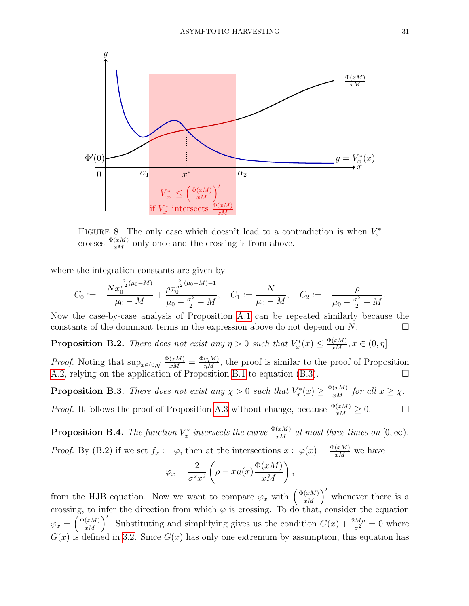<span id="page-31-0"></span>

FIGURE 8. The only case which doesn't lead to a contradiction is when  $V_x^*$ crosses  $\frac{\Phi(xM)}{xM}$  only once and the crossing is from above.

where the integration constants are given by

$$
C_0 := -\frac{Nx_0^{\frac{2}{\sigma^2}(\mu_0 - M)}}{\mu_0 - M} + \frac{\rho x_0^{\frac{2}{\sigma^2}(\mu_0 - M) - 1}}{\mu_0 - \frac{\sigma^2}{2} - M}, \quad C_1 := \frac{N}{\mu_0 - M}, \quad C_2 := -\frac{\rho}{\mu_0 - \frac{\sigma^2}{2} - M}.
$$

Now the case-by-case analysis of Proposition [A.1](#page-21-1) can be repeated similarly because the constants of the dominant terms in the expression above do not depend on  $N$ .

**Proposition B.2.** There does not exist any  $\eta > 0$  such that  $V_x^*(x) \leq \frac{\Phi(xM)}{xM}, x \in (0, \eta]$ .

*Proof.* Noting that  $\sup_{x\in(0,\eta]} \frac{\Phi(xM)}{xM} = \frac{\Phi(\eta M)}{\eta M}$ , the proof is similar to the proof of Proposition [A.2,](#page-22-0) relying on the application of Proposition [B.1](#page-30-1) to equation  $(B.3)$ .

**Proposition B.3.** There does not exist any  $\chi > 0$  such that  $V_x^*(x) \ge \frac{\Phi(xM)}{xM}$  for all  $x \ge \chi$ . *Proof.* It follows the proof of Proposition [A.3](#page-23-0) without change, because  $\frac{\Phi(xM)}{xM} \geq 0$ .

**Proposition B.4.** The function  $V_x^*$  intersects the curve  $\frac{\Phi(xM)}{xM}$  at most three times on  $[0, \infty)$ .

*Proof.* By (B.2) if we set 
$$
f_x := \varphi
$$
, then at the intersections  $x : \varphi(x) = \frac{\Phi(xM)}{xM}$  we have

$$
\varphi_x = \frac{2}{\sigma^2 x^2} \left( \rho - x\mu(x) \frac{\Phi(xM)}{xM} \right),
$$

from the HJB equation. Now we want to compare  $\varphi_x$  with  $\left(\frac{\Phi(xM)}{xM}\right)'$  whenever there is a crossing, to infer the direction from which  $\varphi$  is crossing. To do that, consider the equation  $\varphi_x = \left(\frac{\Phi(xM)}{xM}\right)'$ . Substituting and simplifying gives us the condition  $G(x) + \frac{2M\rho}{\sigma^2} = 0$  where  $G(x)$  is defined in [3.2.](#page-7-2) Since  $G(x)$  has only one extremum by assumption, this equation has